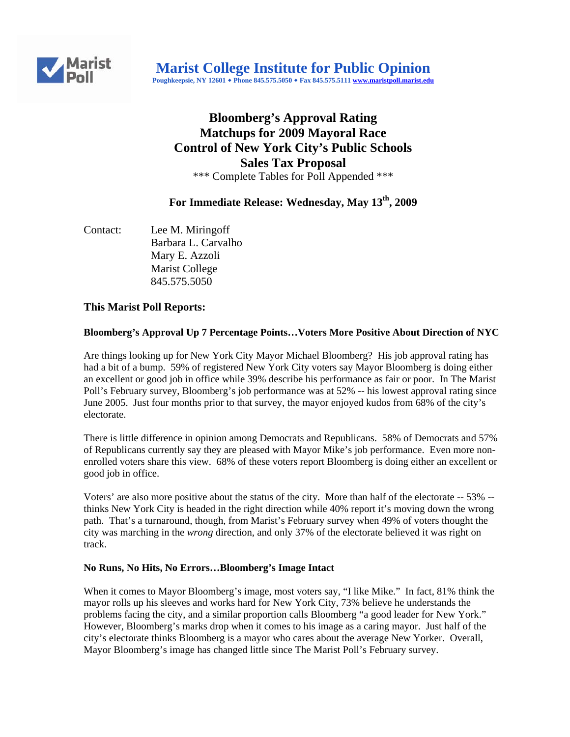

# **Bloomberg's Approval Rating Matchups for 2009 Mayoral Race Control of New York City's Public Schools Sales Tax Proposal**  \*\*\* Complete Tables for Poll Appended \*\*\*

# **For Immediate Release: Wednesday, May 13th, 2009**

Contact: Lee M. Miringoff Barbara L. Carvalho Mary E. Azzoli Marist College 845.575.5050

# **This Marist Poll Reports:**

### **Bloomberg's Approval Up 7 Percentage Points…Voters More Positive About Direction of NYC**

Are things looking up for New York City Mayor Michael Bloomberg? His job approval rating has had a bit of a bump. 59% of registered New York City voters say Mayor Bloomberg is doing either an excellent or good job in office while 39% describe his performance as fair or poor. In The Marist Poll's February survey, Bloomberg's job performance was at 52% -- his lowest approval rating since June 2005. Just four months prior to that survey, the mayor enjoyed kudos from 68% of the city's electorate.

There is little difference in opinion among Democrats and Republicans. 58% of Democrats and 57% of Republicans currently say they are pleased with Mayor Mike's job performance. Even more nonenrolled voters share this view. 68% of these voters report Bloomberg is doing either an excellent or good job in office.

Voters' are also more positive about the status of the city. More than half of the electorate -- 53% - thinks New York City is headed in the right direction while 40% report it's moving down the wrong path. That's a turnaround, though, from Marist's February survey when 49% of voters thought the city was marching in the *wrong* direction, and only 37% of the electorate believed it was right on track.

#### **No Runs, No Hits, No Errors…Bloomberg's Image Intact**

When it comes to Mayor Bloomberg's image, most voters say, "I like Mike." In fact, 81% think the mayor rolls up his sleeves and works hard for New York City, 73% believe he understands the problems facing the city, and a similar proportion calls Bloomberg "a good leader for New York." However, Bloomberg's marks drop when it comes to his image as a caring mayor. Just half of the city's electorate thinks Bloomberg is a mayor who cares about the average New Yorker. Overall, Mayor Bloomberg's image has changed little since The Marist Poll's February survey.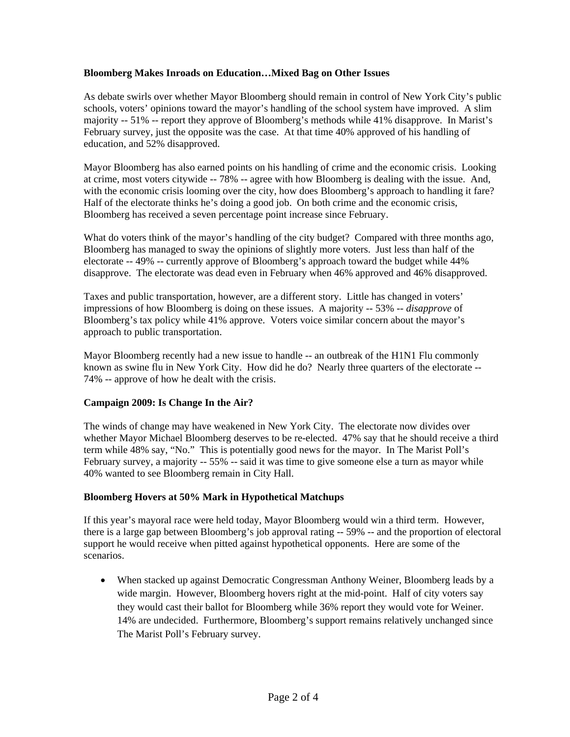#### **Bloomberg Makes Inroads on Education…Mixed Bag on Other Issues**

As debate swirls over whether Mayor Bloomberg should remain in control of New York City's public schools, voters' opinions toward the mayor's handling of the school system have improved. A slim majority -- 51% -- report they approve of Bloomberg's methods while 41% disapprove. In Marist's February survey, just the opposite was the case. At that time 40% approved of his handling of education, and 52% disapproved.

Mayor Bloomberg has also earned points on his handling of crime and the economic crisis. Looking at crime, most voters citywide -- 78% -- agree with how Bloomberg is dealing with the issue. And, with the economic crisis looming over the city, how does Bloomberg's approach to handling it fare? Half of the electorate thinks he's doing a good job. On both crime and the economic crisis, Bloomberg has received a seven percentage point increase since February.

What do voters think of the mayor's handling of the city budget? Compared with three months ago, Bloomberg has managed to sway the opinions of slightly more voters. Just less than half of the electorate -- 49% -- currently approve of Bloomberg's approach toward the budget while 44% disapprove. The electorate was dead even in February when 46% approved and 46% disapproved.

Taxes and public transportation, however, are a different story. Little has changed in voters' impressions of how Bloomberg is doing on these issues. A majority -- 53% -- *disapprove* of Bloomberg's tax policy while 41% approve. Voters voice similar concern about the mayor's approach to public transportation.

Mayor Bloomberg recently had a new issue to handle -- an outbreak of the H1N1 Flu commonly known as swine flu in New York City. How did he do? Nearly three quarters of the electorate -- 74% -- approve of how he dealt with the crisis.

# **Campaign 2009: Is Change In the Air?**

The winds of change may have weakened in New York City. The electorate now divides over whether Mayor Michael Bloomberg deserves to be re-elected. 47% say that he should receive a third term while 48% say, "No." This is potentially good news for the mayor. In The Marist Poll's February survey, a majority -- 55% -- said it was time to give someone else a turn as mayor while 40% wanted to see Bloomberg remain in City Hall.

#### **Bloomberg Hovers at 50% Mark in Hypothetical Matchups**

If this year's mayoral race were held today, Mayor Bloomberg would win a third term. However, there is a large gap between Bloomberg's job approval rating -- 59% -- and the proportion of electoral support he would receive when pitted against hypothetical opponents. Here are some of the scenarios.

• When stacked up against Democratic Congressman Anthony Weiner, Bloomberg leads by a wide margin. However, Bloomberg hovers right at the mid-point. Half of city voters say they would cast their ballot for Bloomberg while 36% report they would vote for Weiner. 14% are undecided. Furthermore, Bloomberg's support remains relatively unchanged since The Marist Poll's February survey.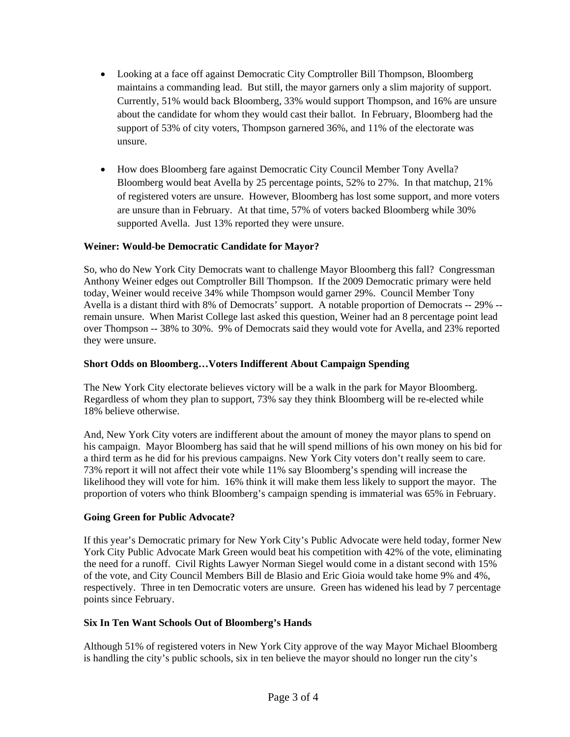- Looking at a face off against Democratic City Comptroller Bill Thompson, Bloomberg maintains a commanding lead. But still, the mayor garners only a slim majority of support. Currently, 51% would back Bloomberg, 33% would support Thompson, and 16% are unsure about the candidate for whom they would cast their ballot. In February, Bloomberg had the support of 53% of city voters, Thompson garnered 36%, and 11% of the electorate was unsure.
- How does Bloomberg fare against Democratic City Council Member Tony Avella? Bloomberg would beat Avella by 25 percentage points, 52% to 27%. In that matchup, 21% of registered voters are unsure. However, Bloomberg has lost some support, and more voters are unsure than in February. At that time, 57% of voters backed Bloomberg while 30% supported Avella. Just 13% reported they were unsure.

# **Weiner: Would-be Democratic Candidate for Mayor?**

So, who do New York City Democrats want to challenge Mayor Bloomberg this fall? Congressman Anthony Weiner edges out Comptroller Bill Thompson. If the 2009 Democratic primary were held today, Weiner would receive 34% while Thompson would garner 29%. Council Member Tony Avella is a distant third with 8% of Democrats' support. A notable proportion of Democrats -- 29% - remain unsure. When Marist College last asked this question, Weiner had an 8 percentage point lead over Thompson -- 38% to 30%. 9% of Democrats said they would vote for Avella, and 23% reported they were unsure.

### **Short Odds on Bloomberg…Voters Indifferent About Campaign Spending**

The New York City electorate believes victory will be a walk in the park for Mayor Bloomberg. Regardless of whom they plan to support, 73% say they think Bloomberg will be re-elected while 18% believe otherwise.

And, New York City voters are indifferent about the amount of money the mayor plans to spend on his campaign. Mayor Bloomberg has said that he will spend millions of his own money on his bid for a third term as he did for his previous campaigns. New York City voters don't really seem to care. 73% report it will not affect their vote while 11% say Bloomberg's spending will increase the likelihood they will vote for him. 16% think it will make them less likely to support the mayor. The proportion of voters who think Bloomberg's campaign spending is immaterial was 65% in February.

# **Going Green for Public Advocate?**

If this year's Democratic primary for New York City's Public Advocate were held today, former New York City Public Advocate Mark Green would beat his competition with 42% of the vote, eliminating the need for a runoff. Civil Rights Lawyer Norman Siegel would come in a distant second with 15% of the vote, and City Council Members Bill de Blasio and Eric Gioia would take home 9% and 4%, respectively. Three in ten Democratic voters are unsure. Green has widened his lead by 7 percentage points since February.

#### **Six In Ten Want Schools Out of Bloomberg's Hands**

Although 51% of registered voters in New York City approve of the way Mayor Michael Bloomberg is handling the city's public schools, six in ten believe the mayor should no longer run the city's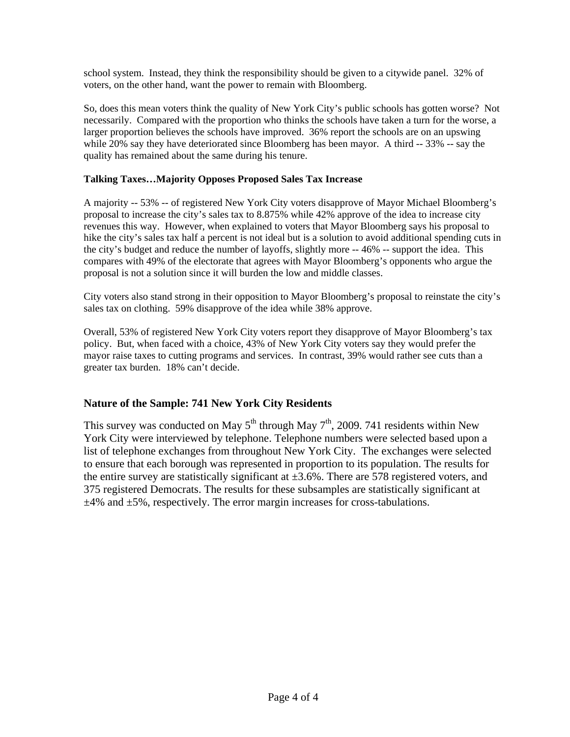school system. Instead, they think the responsibility should be given to a citywide panel. 32% of voters, on the other hand, want the power to remain with Bloomberg.

So, does this mean voters think the quality of New York City's public schools has gotten worse? Not necessarily. Compared with the proportion who thinks the schools have taken a turn for the worse, a larger proportion believes the schools have improved. 36% report the schools are on an upswing while 20% say they have deteriorated since Bloomberg has been mayor. A third -- 33% -- say the quality has remained about the same during his tenure.

### **Talking Taxes…Majority Opposes Proposed Sales Tax Increase**

A majority -- 53% -- of registered New York City voters disapprove of Mayor Michael Bloomberg's proposal to increase the city's sales tax to 8.875% while 42% approve of the idea to increase city revenues this way. However, when explained to voters that Mayor Bloomberg says his proposal to hike the city's sales tax half a percent is not ideal but is a solution to avoid additional spending cuts in the city's budget and reduce the number of layoffs, slightly more -- 46% -- support the idea. This compares with 49% of the electorate that agrees with Mayor Bloomberg's opponents who argue the proposal is not a solution since it will burden the low and middle classes.

City voters also stand strong in their opposition to Mayor Bloomberg's proposal to reinstate the city's sales tax on clothing. 59% disapprove of the idea while 38% approve.

Overall, 53% of registered New York City voters report they disapprove of Mayor Bloomberg's tax policy. But, when faced with a choice, 43% of New York City voters say they would prefer the mayor raise taxes to cutting programs and services. In contrast, 39% would rather see cuts than a greater tax burden. 18% can't decide.

# **Nature of the Sample: 741 New York City Residents**

This survey was conducted on May  $5^{th}$  through May  $7^{th}$ , 2009. 741 residents within New York City were interviewed by telephone. Telephone numbers were selected based upon a list of telephone exchanges from throughout New York City. The exchanges were selected to ensure that each borough was represented in proportion to its population. The results for the entire survey are statistically significant at  $\pm 3.6\%$ . There are 578 registered voters, and 375 registered Democrats. The results for these subsamples are statistically significant at  $\pm$ 4% and  $\pm$ 5%, respectively. The error margin increases for cross-tabulations.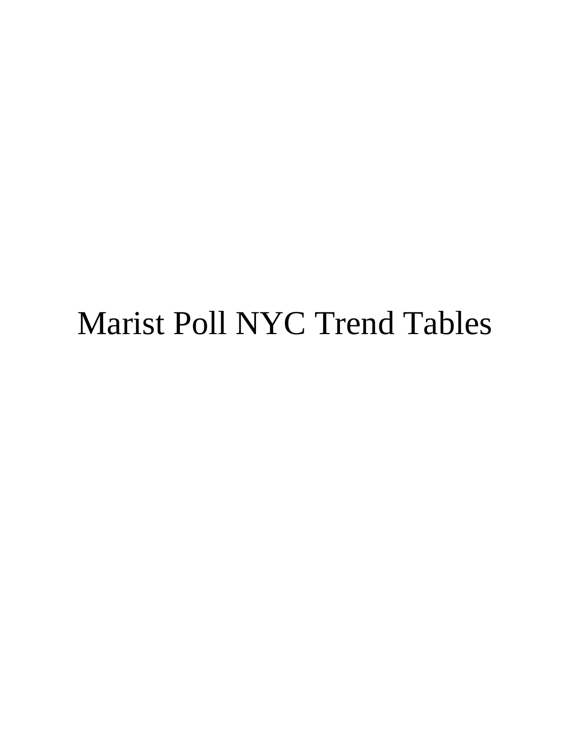# Marist Poll NYC Trend Tables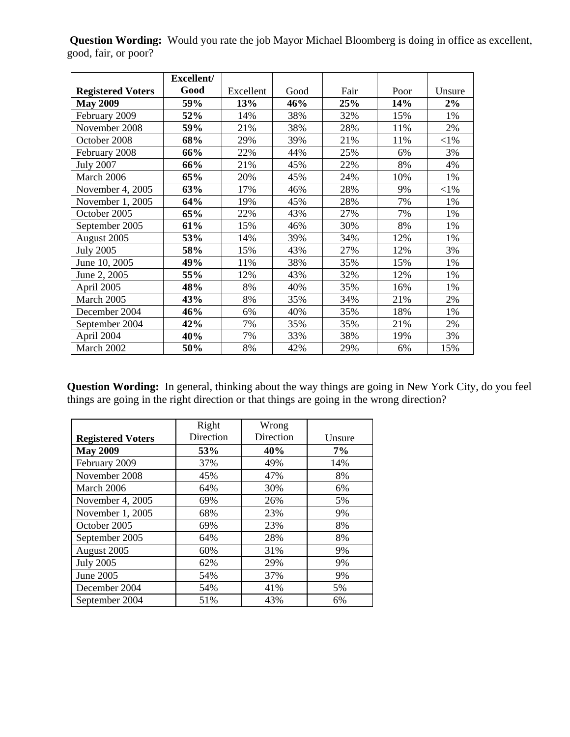**Question Wording:** Would you rate the job Mayor Michael Bloomberg is doing in office as excellent, good, fair, or poor?

|                          | Excellent/ |           |      |      |      |          |
|--------------------------|------------|-----------|------|------|------|----------|
| <b>Registered Voters</b> | Good       | Excellent | Good | Fair | Poor | Unsure   |
| <b>May 2009</b>          | 59%        | 13%       | 46%  | 25%  | 14%  | 2%       |
| February 2009            | 52%        | 14%       | 38%  | 32%  | 15%  | 1%       |
| November 2008            | 59%        | 21%       | 38%  | 28%  | 11%  | 2%       |
| October 2008             | 68%        | 29%       | 39%  | 21%  | 11%  | $<$ 1%   |
| February 2008            | 66%        | 22%       | 44%  | 25%  | 6%   | 3%       |
| <b>July 2007</b>         | 66%        | 21%       | 45%  | 22%  | 8%   | 4%       |
| March 2006               | 65%        | 20%       | 45%  | 24%  | 10%  | 1%       |
| November 4, 2005         | 63%        | 17%       | 46%  | 28%  | 9%   | ${<}1\%$ |
| November 1, 2005         | 64%        | 19%       | 45%  | 28%  | 7%   | 1%       |
| October 2005             | 65%        | 22%       | 43%  | 27%  | 7%   | 1%       |
| September 2005           | 61%        | 15%       | 46%  | 30%  | 8%   | 1%       |
| August 2005              | 53%        | 14%       | 39%  | 34%  | 12%  | 1%       |
| <b>July 2005</b>         | 58%        | 15%       | 43%  | 27%  | 12%  | 3%       |
| June 10, 2005            | 49%        | 11%       | 38%  | 35%  | 15%  | 1%       |
| June 2, 2005             | 55%        | 12%       | 43%  | 32%  | 12%  | 1%       |
| April 2005               | 48%        | 8%        | 40%  | 35%  | 16%  | 1%       |
| March 2005               | 43%        | 8%        | 35%  | 34%  | 21%  | 2%       |
| December 2004            | 46%        | 6%        | 40%  | 35%  | 18%  | 1%       |
| September 2004           | 42%        | 7%        | 35%  | 35%  | 21%  | 2%       |
| April 2004               | 40%        | 7%        | 33%  | 38%  | 19%  | 3%       |
| March 2002               | 50%        | 8%        | 42%  | 29%  | 6%   | 15%      |

**Question Wording:** In general, thinking about the way things are going in New York City, do you feel things are going in the right direction or that things are going in the wrong direction?

|                          | Right     | Wrong     |        |
|--------------------------|-----------|-----------|--------|
| <b>Registered Voters</b> | Direction | Direction | Unsure |
| <b>May 2009</b>          | 53%       | 40%       | 7%     |
| February 2009            | 37%       | 49%       | 14%    |
| November 2008            | 45%       | 47%       | 8%     |
| March 2006               | 64%       | 30%       | 6%     |
| November 4, 2005         | 69%       | 26%       | 5%     |
| November 1, 2005         | 68%       | 23%       | 9%     |
| October 2005             | 69%       | 23%       | 8%     |
| September 2005           | 64%       | 28%       | 8%     |
| August 2005              | 60%       | 31%       | 9%     |
| <b>July 2005</b>         | 62%       | 29%       | 9%     |
| June 2005                | 54%       | 37%       | 9%     |
| December 2004            | 54%       | 41%       | 5%     |
| September 2004           | 51%       | 43%       | 6%     |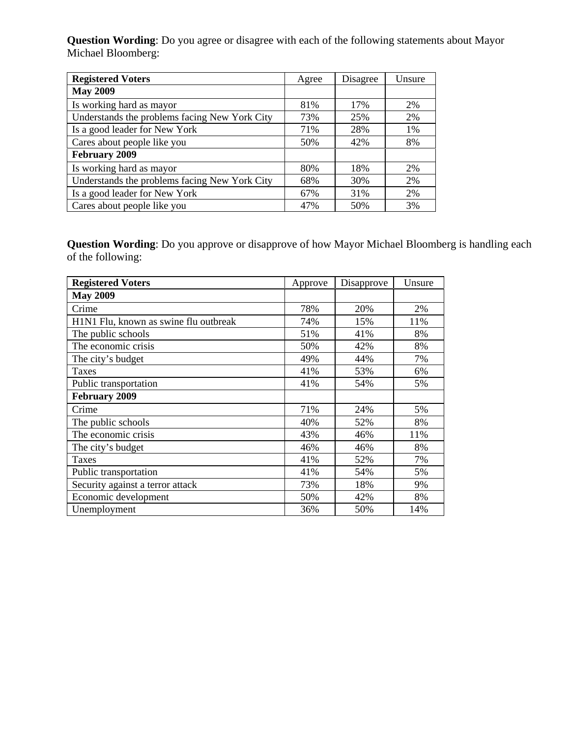**Question Wording**: Do you agree or disagree with each of the following statements about Mayor Michael Bloomberg:

| <b>Registered Voters</b>                      | Agree | Disagree | Unsure |
|-----------------------------------------------|-------|----------|--------|
| <b>May 2009</b>                               |       |          |        |
| Is working hard as mayor                      | 81%   | 17%      | 2%     |
| Understands the problems facing New York City | 73%   | 25%      | 2%     |
| Is a good leader for New York                 | 71%   | 28%      | 1%     |
| Cares about people like you                   | 50%   | 42%      | 8%     |
| February 2009                                 |       |          |        |
| Is working hard as mayor                      | 80%   | 18%      | 2%     |
| Understands the problems facing New York City | 68%   | 30%      | 2%     |
| Is a good leader for New York                 | 67%   | 31%      | 2%     |
| Cares about people like you                   | 47%   | 50%      | 3%     |

**Question Wording**: Do you approve or disapprove of how Mayor Michael Bloomberg is handling each of the following:

| <b>Registered Voters</b>              | Approve | Disapprove | Unsure |
|---------------------------------------|---------|------------|--------|
| <b>May 2009</b>                       |         |            |        |
| Crime                                 | 78%     | 20%        | 2%     |
| H1N1 Flu, known as swine flu outbreak | 74%     | 15%        | 11%    |
| The public schools                    | 51%     | 41%        | 8%     |
| The economic crisis                   | 50%     | 42%        | 8%     |
| The city's budget                     | 49%     | 44%        | 7%     |
| Taxes                                 | 41%     | 53%        | 6%     |
| Public transportation                 | 41%     | 54%        | 5%     |
| February 2009                         |         |            |        |
| Crime                                 | 71%     | 24%        | 5%     |
| The public schools                    | 40%     | 52%        | 8%     |
| The economic crisis                   | 43%     | 46%        | 11%    |
| The city's budget                     | 46%     | 46%        | 8%     |
| <b>Taxes</b>                          | 41%     | 52%        | 7%     |
| Public transportation                 | 41%     | 54%        | 5%     |
| Security against a terror attack      | 73%     | 18%        | 9%     |
| Economic development                  | 50%     | 42%        | 8%     |
| Unemployment                          | 36%     | 50%        | 14%    |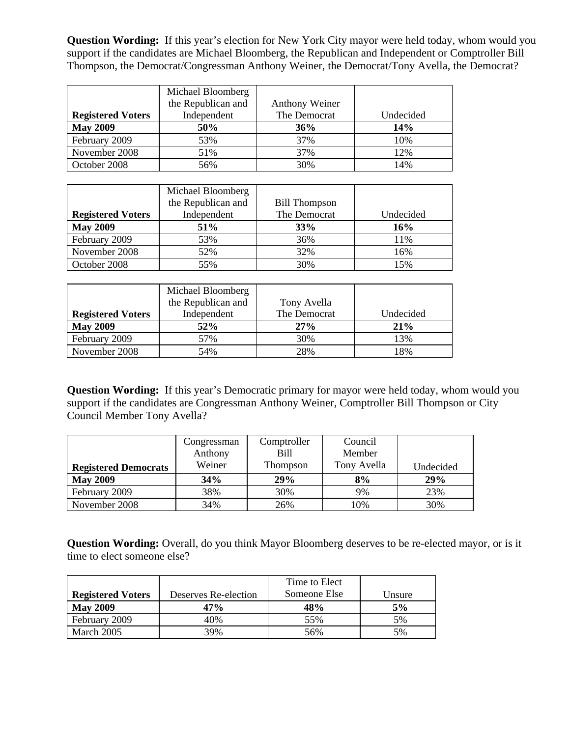**Question Wording:** If this year's election for New York City mayor were held today, whom would you support if the candidates are Michael Bloomberg, the Republican and Independent or Comptroller Bill Thompson, the Democrat/Congressman Anthony Weiner, the Democrat/Tony Avella, the Democrat?

|                          | Michael Bloomberg  |                |           |
|--------------------------|--------------------|----------------|-----------|
|                          | the Republican and | Anthony Weiner |           |
| <b>Registered Voters</b> | Independent        | The Democrat   | Undecided |
| <b>May 2009</b>          | 50%                | 36%            | 14%       |
| February 2009            | 53%                | 37%            | 10%       |
| November 2008            | 51%                | 37%            | 12%       |
| October 2008             | 56%                | 30%            | 14%       |

|                          | Michael Bloomberg<br>the Republican and | <b>Bill Thompson</b> |           |
|--------------------------|-----------------------------------------|----------------------|-----------|
| <b>Registered Voters</b> | Independent                             | The Democrat         | Undecided |
| <b>May 2009</b>          | <b>51%</b>                              | 33%                  | 16%       |
| February 2009            | 53%                                     | 36%                  | 11%       |
| November 2008            | 52%                                     | 32%                  | 16%       |
| October 2008             | 55%                                     | 30%                  | 15%       |

|                          | Michael Bloomberg<br>the Republican and | Tony Avella  |           |
|--------------------------|-----------------------------------------|--------------|-----------|
| <b>Registered Voters</b> | Independent                             | The Democrat | Undecided |
| <b>May 2009</b>          | 52%                                     | 27%          | 21%       |
| February 2009            | 57%                                     | 30%          | 13%       |
| November 2008            | 54%                                     | 28%          | 18%       |

**Question Wording:** If this year's Democratic primary for mayor were held today, whom would you support if the candidates are Congressman Anthony Weiner, Comptroller Bill Thompson or City Council Member Tony Avella?

|                             | Congressman | Comptroller | Council     |           |
|-----------------------------|-------------|-------------|-------------|-----------|
|                             | Anthony     | Bill        | Member      |           |
| <b>Registered Democrats</b> | Weiner      | Thompson    | Tony Avella | Undecided |
| <b>May 2009</b>             | 34%         | 29%         | 8%          | 29%       |
| February 2009               | 38%         | 30%         | 9%          | 23%       |
| November 2008               | 34%         | 26%         | 10%         | 30%       |

**Question Wording:** Overall, do you think Mayor Bloomberg deserves to be re-elected mayor, or is it time to elect someone else?

|                          |                      | Time to Elect |        |
|--------------------------|----------------------|---------------|--------|
| <b>Registered Voters</b> | Deserves Re-election | Someone Else  | Unsure |
| <b>May 2009</b>          | 47%                  | 48%           | 5%     |
| February 2009            | 40%                  | 55%           | 5%     |
| March 2005               | 39%                  | 56%           | 5%     |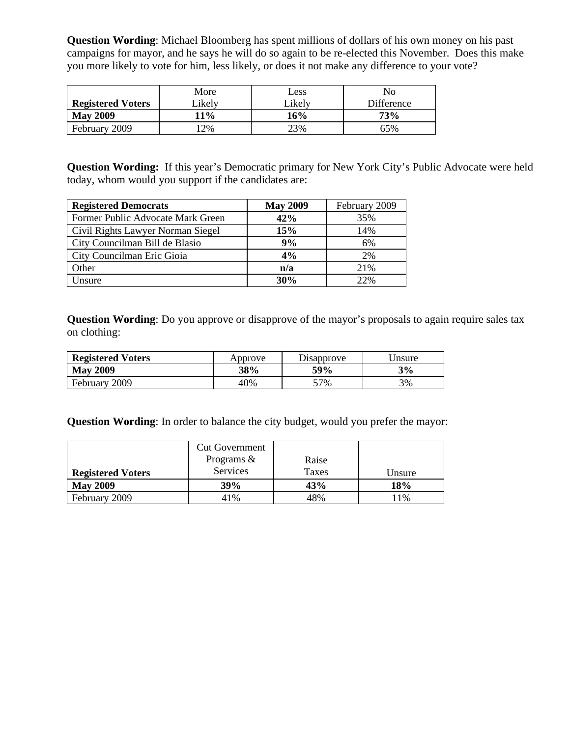**Question Wording**: Michael Bloomberg has spent millions of dollars of his own money on his past campaigns for mayor, and he says he will do so again to be re-elected this November. Does this make you more likely to vote for him, less likely, or does it not make any difference to your vote?

|                          | More       | Less   | No         |
|--------------------------|------------|--------|------------|
| <b>Registered Voters</b> | ∟ikely     | Likely | Difference |
| <b>May 2009</b>          | <b>11%</b> | 16%    | 73%        |
| February 2009            | 2%         | 23%    | 65%        |

**Question Wording:** If this year's Democratic primary for New York City's Public Advocate were held today, whom would you support if the candidates are:

| <b>Registered Democrats</b>       | <b>May 2009</b> | February 2009 |
|-----------------------------------|-----------------|---------------|
| Former Public Advocate Mark Green | 42%             | 35%           |
| Civil Rights Lawyer Norman Siegel | 15%             | 14%           |
| City Councilman Bill de Blasio    | 9%              | 6%            |
| City Councilman Eric Gioia        | 4%              | 2%            |
| Other                             | n/a             | 21%           |
| Unsure                            | 30%             | 22%           |

**Question Wording**: Do you approve or disapprove of the mayor's proposals to again require sales tax on clothing:

| <b>Registered Voters</b> | Approve | Disapprove | Jnsure |
|--------------------------|---------|------------|--------|
| <b>May 2009</b>          | 38%     | <b>59%</b> | 3%     |
| February 2009            | 40%     | 57%        | 3%     |

**Question Wording**: In order to balance the city budget, would you prefer the mayor:

|                          | <b>Cut Government</b><br>Programs $\&$ | Raise |        |
|--------------------------|----------------------------------------|-------|--------|
| <b>Registered Voters</b> | Services                               | Taxes | Unsure |
| <b>May 2009</b>          | 39%                                    | 43%   | 18%    |
| February 2009            | 41%                                    | 48%   | 1%     |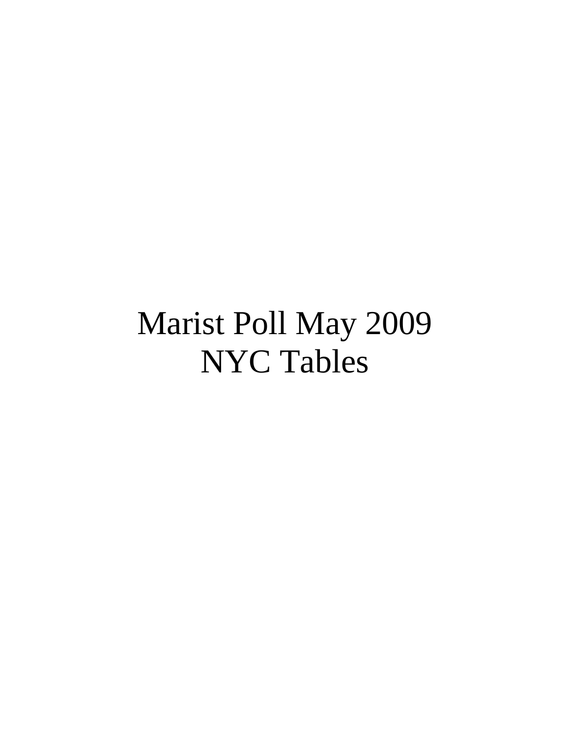# Marist Poll May 2009 NYC Tables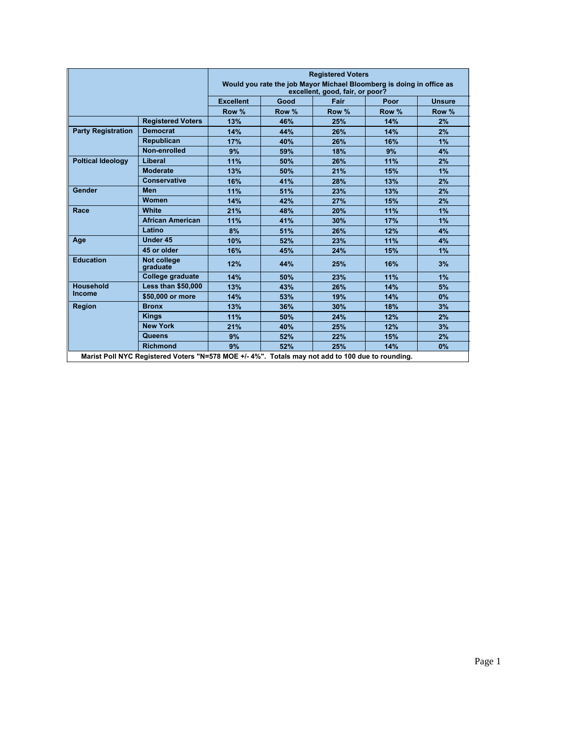|                           |                           |                  |       | <b>Registered Voters</b><br>Would you rate the job Mayor Michael Bloomberg is doing in office as<br>excellent, good, fair, or poor? |       |               |
|---------------------------|---------------------------|------------------|-------|-------------------------------------------------------------------------------------------------------------------------------------|-------|---------------|
|                           |                           | <b>Excellent</b> | Good  | Fair                                                                                                                                | Poor  | <b>Unsure</b> |
|                           |                           | Row %            | Row % | Row %                                                                                                                               | Row % | Row %         |
|                           | <b>Registered Voters</b>  | 13%              | 46%   | 25%                                                                                                                                 | 14%   | 2%            |
| <b>Party Registration</b> | <b>Democrat</b>           | 14%              | 44%   | 26%                                                                                                                                 | 14%   | 2%            |
|                           | <b>Republican</b>         | 17%              | 40%   | 26%                                                                                                                                 | 16%   | 1%            |
|                           | Non-enrolled              | 9%               | 59%   | 18%                                                                                                                                 | 9%    | 4%            |
| <b>Poltical Ideology</b>  | Liberal                   | 11%              | 50%   | 26%                                                                                                                                 | 11%   | 2%            |
|                           | <b>Moderate</b>           | 13%              | 50%   | 21%                                                                                                                                 | 15%   | 1%            |
|                           | <b>Conservative</b>       | 16%              | 41%   | 28%                                                                                                                                 | 13%   | 2%            |
| Gender                    | <b>Men</b>                | 11%              | 51%   | 23%                                                                                                                                 | 13%   | 2%            |
|                           | Women                     | 14%              | 42%   | 27%                                                                                                                                 | 15%   | 2%            |
| Race                      | White                     | 21%              | 48%   | 20%                                                                                                                                 | 11%   | 1%            |
|                           | <b>African American</b>   | 11%              | 41%   | 30%                                                                                                                                 | 17%   | 1%            |
|                           | Latino                    | 8%               | 51%   | 26%                                                                                                                                 | 12%   | 4%            |
| Age                       | Under 45                  | 10%              | 52%   | 23%                                                                                                                                 | 11%   | 4%            |
|                           | 45 or older               | 16%              | 45%   | 24%                                                                                                                                 | 15%   | 1%            |
| <b>Education</b>          | Not college<br>graduate   | 12%              | 44%   | 25%                                                                                                                                 | 16%   | 3%            |
|                           | College graduate          | 14%              | 50%   | 23%                                                                                                                                 | 11%   | 1%            |
| <b>Household</b>          | <b>Less than \$50,000</b> | 13%              | 43%   | 26%                                                                                                                                 | 14%   | 5%            |
| <b>Income</b>             | \$50,000 or more          | 14%              | 53%   | 19%                                                                                                                                 | 14%   | 0%            |
| <b>Region</b>             | <b>Bronx</b>              | 13%              | 36%   | 30%                                                                                                                                 | 18%   | 3%            |
|                           | <b>Kings</b>              | 11%              | 50%   | 24%                                                                                                                                 | 12%   | 2%            |
|                           | <b>New York</b>           | 21%              | 40%   | 25%                                                                                                                                 | 12%   | 3%            |
|                           | Queens                    | 9%               | 52%   | 22%                                                                                                                                 | 15%   | 2%            |
|                           | <b>Richmond</b>           | 9%               | 52%   | 25%                                                                                                                                 | 14%   | 0%            |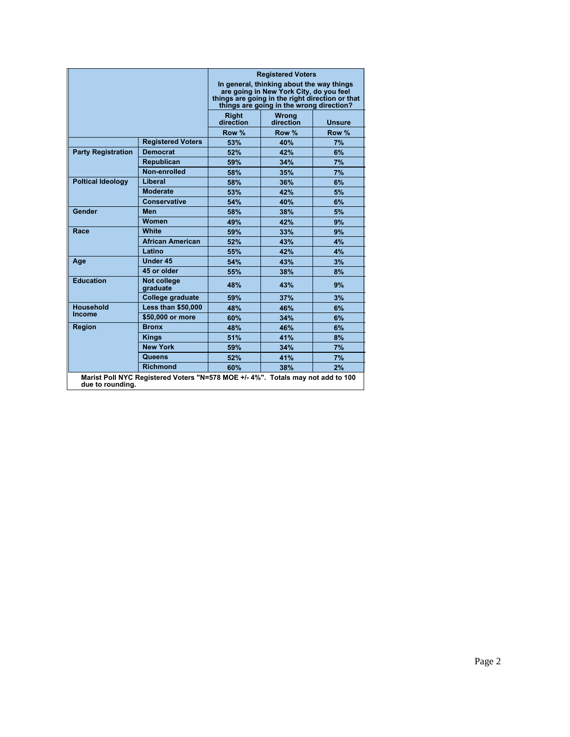|                           |                                                                                 |                           | <b>Registered Voters</b><br>In general, thinking about the way things<br>are going in New York City, do you feel<br>things are going in the right direction or that<br>things are going in the wrong direction? |               |
|---------------------------|---------------------------------------------------------------------------------|---------------------------|-----------------------------------------------------------------------------------------------------------------------------------------------------------------------------------------------------------------|---------------|
|                           |                                                                                 | <b>Right</b><br>direction | <b>Wrong</b><br>direction                                                                                                                                                                                       | <b>Unsure</b> |
|                           |                                                                                 | Row %                     | Row %                                                                                                                                                                                                           | Row %         |
|                           | <b>Registered Voters</b>                                                        | 53%                       | 40%                                                                                                                                                                                                             | 7%            |
| <b>Party Registration</b> | <b>Democrat</b>                                                                 | 52%                       | 42%                                                                                                                                                                                                             | 6%            |
|                           | <b>Republican</b>                                                               | 59%                       | 34%                                                                                                                                                                                                             | 7%            |
|                           | Non-enrolled                                                                    | 58%                       | 35%                                                                                                                                                                                                             | 7%            |
| <b>Poltical Ideology</b>  | Liberal                                                                         | 58%                       | 36%                                                                                                                                                                                                             | 6%            |
|                           | <b>Moderate</b>                                                                 | 53%                       | 42%                                                                                                                                                                                                             | 5%            |
|                           | <b>Conservative</b>                                                             | 54%                       | 40%                                                                                                                                                                                                             | 6%            |
| Gender                    | <b>Men</b>                                                                      | 58%                       | 38%                                                                                                                                                                                                             | 5%            |
|                           | <b>Women</b>                                                                    | 49%                       | 42%                                                                                                                                                                                                             | 9%            |
| Race                      | White                                                                           | 59%                       | 33%                                                                                                                                                                                                             | 9%            |
|                           | <b>African American</b>                                                         | 52%                       | 43%                                                                                                                                                                                                             | 4%            |
|                           | Latino                                                                          | 55%                       | 42%                                                                                                                                                                                                             | 4%            |
| Age                       | Under 45                                                                        | 54%                       | 43%                                                                                                                                                                                                             | 3%            |
|                           | 45 or older                                                                     | 55%                       | 38%                                                                                                                                                                                                             | 8%            |
| <b>Education</b>          | Not college<br>graduate                                                         | 48%                       | 43%                                                                                                                                                                                                             | 9%            |
|                           | College graduate                                                                | 59%                       | 37%                                                                                                                                                                                                             | 3%            |
| <b>Household</b>          | <b>Less than \$50,000</b>                                                       | 48%                       | 46%                                                                                                                                                                                                             | 6%            |
| <b>Income</b>             | \$50,000 or more                                                                | 60%                       | 34%                                                                                                                                                                                                             | 6%            |
| <b>Region</b>             | <b>Bronx</b>                                                                    | 48%                       | 46%                                                                                                                                                                                                             | 6%            |
|                           | <b>Kings</b>                                                                    | 51%                       | 41%                                                                                                                                                                                                             | 8%            |
|                           | <b>New York</b>                                                                 | 59%                       | 34%                                                                                                                                                                                                             | 7%            |
|                           | Queens                                                                          | 52%                       | 41%                                                                                                                                                                                                             | 7%            |
|                           | <b>Richmond</b>                                                                 | 60%                       | 38%                                                                                                                                                                                                             | 2%            |
| due to rounding.          | Marist Poll NYC Registered Voters "N=578 MOE +/- 4%". Totals may not add to 100 |                           |                                                                                                                                                                                                                 |               |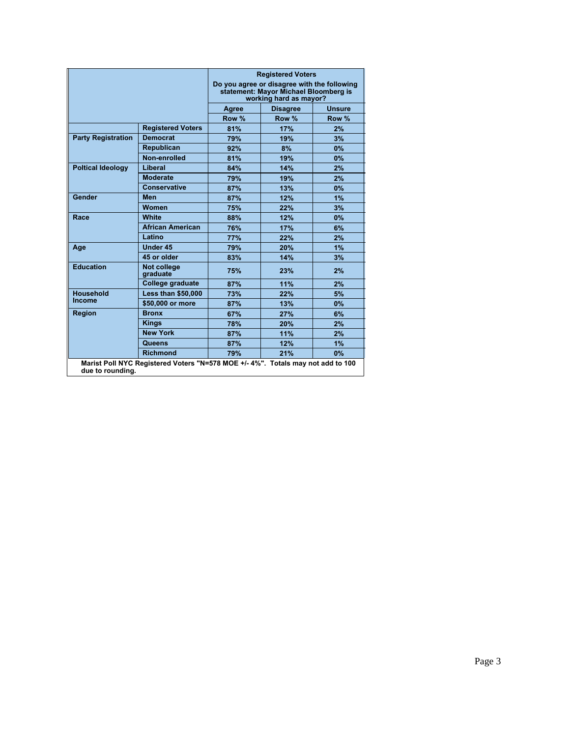|                           |                                                                                |       | <b>Registered Voters</b><br>Do you agree or disagree with the following<br>statement: Mayor Michael Bloomberg is<br>working hard as mayor? |               |
|---------------------------|--------------------------------------------------------------------------------|-------|--------------------------------------------------------------------------------------------------------------------------------------------|---------------|
|                           |                                                                                | Agree | <b>Disagree</b>                                                                                                                            | <b>Unsure</b> |
|                           |                                                                                | Row % | Row %                                                                                                                                      | Row %         |
|                           | <b>Registered Voters</b>                                                       | 81%   | 17%                                                                                                                                        | 2%            |
| <b>Party Registration</b> | <b>Democrat</b>                                                                | 79%   | 19%                                                                                                                                        | 3%            |
|                           | Republican                                                                     | 92%   | 8%                                                                                                                                         | 0%            |
|                           | Non-enrolled                                                                   | 81%   | 19%                                                                                                                                        | 0%            |
| <b>Poltical Ideology</b>  | Liberal                                                                        | 84%   | 14%                                                                                                                                        | 2%            |
|                           | <b>Moderate</b>                                                                | 79%   | 19%                                                                                                                                        | 2%            |
|                           | <b>Conservative</b>                                                            | 87%   | 13%                                                                                                                                        | 0%            |
| Gender                    | <b>Men</b>                                                                     | 87%   | 12%                                                                                                                                        | 1%            |
|                           | Women                                                                          | 75%   | 22%                                                                                                                                        | 3%            |
| Race                      | White                                                                          | 88%   | 12%                                                                                                                                        | 0%            |
|                           | <b>African American</b>                                                        | 76%   | 17%                                                                                                                                        | 6%            |
|                           | Latino                                                                         | 77%   | 22%                                                                                                                                        | 2%            |
| Age                       | <b>Under 45</b>                                                                | 79%   | <b>20%</b>                                                                                                                                 | 1%            |
|                           | 45 or older                                                                    | 83%   | 14%                                                                                                                                        | 3%            |
| <b>Education</b>          | <b>Not college</b><br>graduate                                                 | 75%   | 23%                                                                                                                                        | 2%            |
|                           | College graduate                                                               | 87%   | 11%                                                                                                                                        | 2%            |
| <b>Household</b>          | <b>Less than \$50,000</b>                                                      | 73%   | 22%                                                                                                                                        | 5%            |
| Income                    | \$50,000 or more                                                               | 87%   | 13%                                                                                                                                        | 0%            |
| <b>Region</b>             | <b>Bronx</b>                                                                   | 67%   | 27%                                                                                                                                        | 6%            |
|                           | <b>Kings</b>                                                                   | 78%   | 20%                                                                                                                                        | 2%            |
|                           | <b>New York</b>                                                                | 87%   | 11%                                                                                                                                        | 2%            |
|                           | Queens                                                                         | 87%   | 12%                                                                                                                                        | 1%            |
|                           | <b>Richmond</b>                                                                | 79%   | 21%                                                                                                                                        | 0%            |
| due to rounding.          | Marist Poll NYC Registered Voters "N=578 MOE +/-4%". Totals may not add to 100 |       |                                                                                                                                            |               |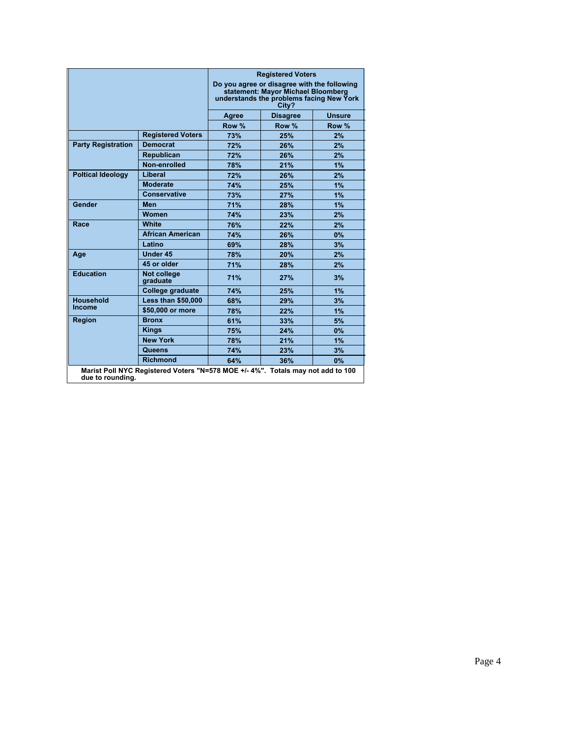|                           |                                                                                 |       | <b>Registered Voters</b><br>Do you agree or disagree with the following<br>statement: Mayor Michael Bloomberg<br>understands the problems facing New York<br>City? |               |
|---------------------------|---------------------------------------------------------------------------------|-------|--------------------------------------------------------------------------------------------------------------------------------------------------------------------|---------------|
|                           |                                                                                 | Agree | <b>Disagree</b>                                                                                                                                                    | <b>Unsure</b> |
|                           |                                                                                 | Row % | Row %                                                                                                                                                              | Row %         |
|                           | <b>Registered Voters</b>                                                        | 73%   | 25%                                                                                                                                                                | 2%            |
| <b>Party Registration</b> | <b>Democrat</b>                                                                 | 72%   | 26%                                                                                                                                                                | 2%            |
|                           | <b>Republican</b>                                                               | 72%   | 26%                                                                                                                                                                | 2%            |
|                           | Non-enrolled                                                                    | 78%   | 21%                                                                                                                                                                | 1%            |
| <b>Poltical Ideology</b>  | Liberal                                                                         | 72%   | 26%                                                                                                                                                                | 2%            |
|                           | <b>Moderate</b>                                                                 | 74%   | 25%                                                                                                                                                                | 1%            |
|                           | <b>Conservative</b>                                                             | 73%   | 27%                                                                                                                                                                | 1%            |
| Gender                    | <b>Men</b>                                                                      | 71%   | 28%                                                                                                                                                                | 1%            |
|                           | Women                                                                           | 74%   | 23%                                                                                                                                                                | 2%            |
| Race                      | <b>White</b>                                                                    | 76%   | 22%                                                                                                                                                                | 2%            |
|                           | <b>African American</b>                                                         | 74%   | 26%                                                                                                                                                                | 0%            |
|                           | Latino                                                                          | 69%   | 28%                                                                                                                                                                | 3%            |
| Age                       | Under 45                                                                        | 78%   | 20%                                                                                                                                                                | 2%            |
|                           | 45 or older                                                                     | 71%   | 28%                                                                                                                                                                | 2%            |
| <b>Education</b>          | Not college<br>graduate                                                         | 71%   | 27%                                                                                                                                                                | 3%            |
|                           | College graduate                                                                | 74%   | 25%                                                                                                                                                                | 1%            |
| <b>Household</b>          | <b>Less than \$50,000</b>                                                       | 68%   | 29%                                                                                                                                                                | 3%            |
| <b>Income</b>             | \$50,000 or more                                                                | 78%   | 22%                                                                                                                                                                | 1%            |
| <b>Region</b>             | <b>Bronx</b>                                                                    | 61%   | 33%                                                                                                                                                                | 5%            |
|                           | <b>Kings</b>                                                                    | 75%   | 24%                                                                                                                                                                | $0\%$         |
|                           | <b>New York</b>                                                                 | 78%   | 21%                                                                                                                                                                | 1%            |
|                           | Queens                                                                          | 74%   | 23%                                                                                                                                                                | 3%            |
|                           | <b>Richmond</b>                                                                 | 64%   | 36%                                                                                                                                                                | $0\%$         |
| due to rounding.          | Marist Poll NYC Registered Voters "N=578 MOE +/- 4%". Totals may not add to 100 |       |                                                                                                                                                                    |               |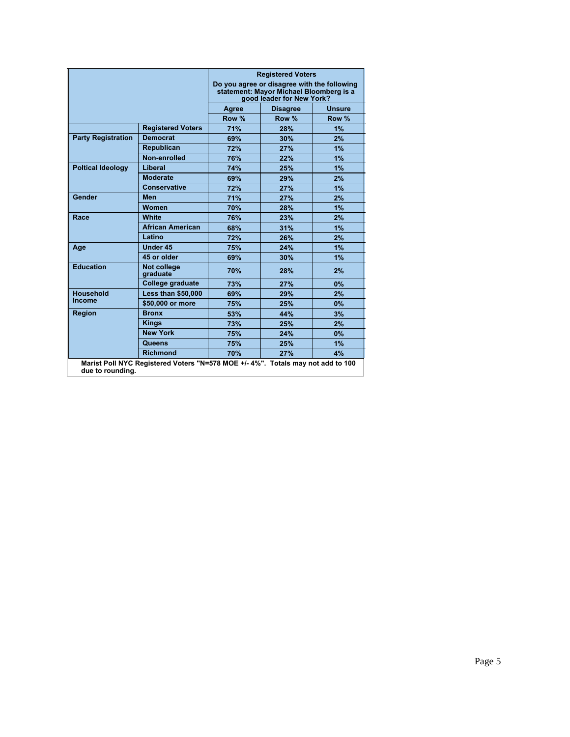|                           |                                                                                |       | <b>Registered Voters</b>                                                                                            |               |
|---------------------------|--------------------------------------------------------------------------------|-------|---------------------------------------------------------------------------------------------------------------------|---------------|
|                           |                                                                                |       | Do you agree or disagree with the following<br>statement: Mayor Michael Bloomberg is a<br>good leader for New York? |               |
|                           |                                                                                | Agree | <b>Disagree</b>                                                                                                     | <b>Unsure</b> |
|                           |                                                                                | Row % | Row %                                                                                                               | Row %         |
|                           | <b>Registered Voters</b>                                                       | 71%   | 28%                                                                                                                 | 1%            |
| <b>Party Registration</b> | <b>Democrat</b>                                                                | 69%   | 30%                                                                                                                 | 2%            |
|                           | Republican                                                                     | 72%   | 27%                                                                                                                 | 1%            |
|                           | Non-enrolled                                                                   | 76%   | 22%                                                                                                                 | 1%            |
| <b>Poltical Ideology</b>  | Liberal                                                                        | 74%   | 25%                                                                                                                 | 1%            |
|                           | <b>Moderate</b>                                                                | 69%   | 29%                                                                                                                 | 2%            |
|                           | <b>Conservative</b>                                                            | 72%   | 27%                                                                                                                 | 1%            |
| Gender                    | <b>Men</b>                                                                     | 71%   | 27%                                                                                                                 | 2%            |
|                           | Women                                                                          | 70%   | 28%                                                                                                                 | 1%            |
| Race                      | <b>White</b>                                                                   | 76%   | 23%                                                                                                                 | 2%            |
|                           | <b>African American</b>                                                        | 68%   | 31%                                                                                                                 | 1%            |
|                           | Latino                                                                         | 72%   | 26%                                                                                                                 | 2%            |
| Age                       | <b>Under 45</b>                                                                | 75%   | 24%                                                                                                                 | 1%            |
|                           | 45 or older                                                                    | 69%   | 30%                                                                                                                 | 1%            |
| <b>Education</b>          | Not college<br>graduate                                                        | 70%   | 28%                                                                                                                 | 2%            |
|                           | <b>College graduate</b>                                                        | 73%   | 27%                                                                                                                 | 0%            |
| <b>Household</b>          | <b>Less than \$50,000</b>                                                      | 69%   | 29%                                                                                                                 | 2%            |
| <b>Income</b>             | \$50,000 or more                                                               | 75%   | 25%                                                                                                                 | 0%            |
| <b>Region</b>             | <b>Bronx</b>                                                                   | 53%   | 44%                                                                                                                 | 3%            |
|                           | <b>Kings</b>                                                                   | 73%   | 25%                                                                                                                 | 2%            |
|                           | <b>New York</b>                                                                | 75%   | 24%                                                                                                                 | 0%            |
|                           | Queens                                                                         | 75%   | 25%                                                                                                                 | 1%            |
|                           | <b>Richmond</b>                                                                | 70%   | 27%                                                                                                                 | 4%            |
| due to rounding.          | Marist Poll NYC Registered Voters "N=578 MOE +/-4%". Totals may not add to 100 |       |                                                                                                                     |               |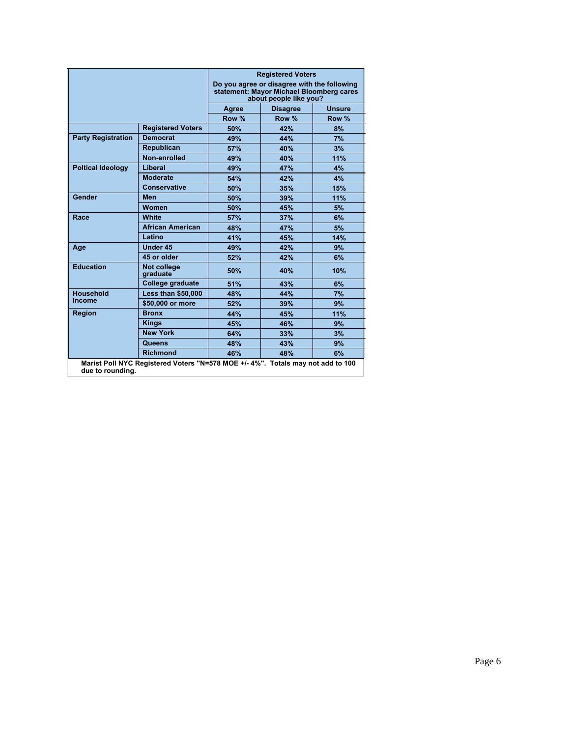|                           |                                |       | <b>Registered Voters</b><br>Do you agree or disagree with the following<br>statement: Mayor Michael Bloomberg cares<br>about people like you? |               |
|---------------------------|--------------------------------|-------|-----------------------------------------------------------------------------------------------------------------------------------------------|---------------|
|                           |                                | Agree | <b>Disagree</b>                                                                                                                               | <b>Unsure</b> |
|                           |                                | Row % | Row %                                                                                                                                         | Row %         |
|                           | <b>Registered Voters</b>       | 50%   | 42%                                                                                                                                           | 8%            |
| <b>Party Registration</b> | <b>Democrat</b>                | 49%   | 44%                                                                                                                                           | 7%            |
|                           | Republican                     | 57%   | 40%                                                                                                                                           | 3%            |
|                           | Non-enrolled                   | 49%   | 40%                                                                                                                                           | 11%           |
| <b>Poltical Ideology</b>  | Liberal                        | 49%   | 47%                                                                                                                                           | 4%            |
|                           | <b>Moderate</b>                | 54%   | 42%                                                                                                                                           | 4%            |
|                           | <b>Conservative</b>            | 50%   | 35%                                                                                                                                           | 15%           |
| Gender                    | <b>Men</b>                     | 50%   | 39%                                                                                                                                           | 11%           |
|                           | <b>Women</b>                   | 50%   | 45%                                                                                                                                           | 5%            |
| Race                      | White                          | 57%   | 37%                                                                                                                                           | 6%            |
|                           | <b>African American</b>        | 48%   | 47%                                                                                                                                           | 5%            |
|                           | Latino                         | 41%   | 45%                                                                                                                                           | 14%           |
| Age                       | <b>Under 45</b>                | 49%   | 42%                                                                                                                                           | 9%            |
|                           | 45 or older                    | 52%   | 42%                                                                                                                                           | 6%            |
| <b>Education</b>          | <b>Not college</b><br>araduate | 50%   | <b>40%</b>                                                                                                                                    | 10%           |
|                           | College graduate               | 51%   | 43%                                                                                                                                           | 6%            |
| <b>Household</b>          | <b>Less than \$50,000</b>      | 48%   | 44%                                                                                                                                           | 7%            |
| Income                    | \$50,000 or more               | 52%   | 39%                                                                                                                                           | 9%            |
| <b>Region</b>             | <b>Bronx</b>                   | 44%   | 45%                                                                                                                                           | 11%           |
|                           | <b>Kings</b>                   | 45%   | 46%                                                                                                                                           | 9%            |
|                           | <b>New York</b>                | 64%   | 33%                                                                                                                                           | 3%            |
|                           | Queens                         | 48%   | 43%                                                                                                                                           | 9%            |
|                           | <b>Richmond</b>                | 46%   | 48%                                                                                                                                           | 6%            |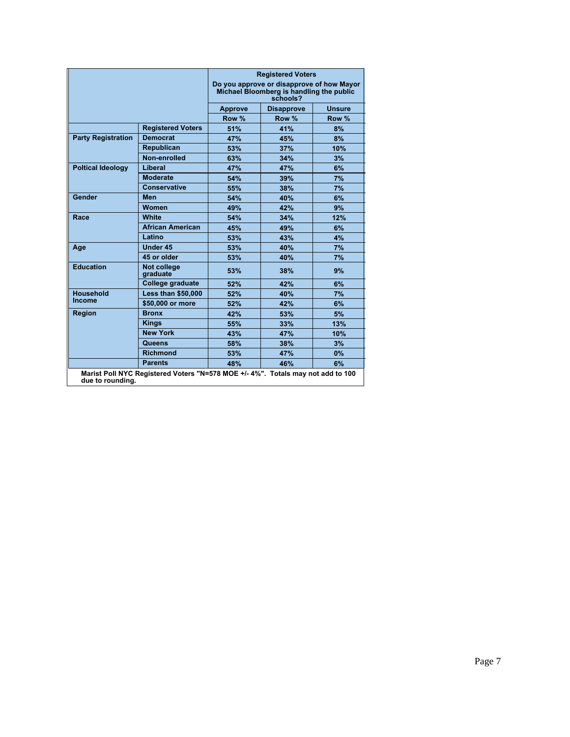|                           |                                                                                |                | <b>Registered Voters</b>                                                                          |               |
|---------------------------|--------------------------------------------------------------------------------|----------------|---------------------------------------------------------------------------------------------------|---------------|
|                           |                                                                                |                | Do you approve or disapprove of how Mayor<br>Michael Bloomberg is handling the public<br>schools? |               |
|                           |                                                                                | <b>Approve</b> | <b>Disapprove</b>                                                                                 | <b>Unsure</b> |
|                           |                                                                                | Row %          | Row %                                                                                             | Row %         |
|                           | <b>Registered Voters</b>                                                       | 51%            | 41%                                                                                               | 8%            |
| <b>Party Registration</b> | <b>Democrat</b>                                                                | 47%            | 45%                                                                                               | 8%            |
|                           | Republican                                                                     | 53%            | 37%                                                                                               | 10%           |
|                           | Non-enrolled                                                                   | 63%            | 34%                                                                                               | 3%            |
| <b>Poltical Ideology</b>  | <b>Liberal</b>                                                                 | 47%            | 47%                                                                                               | 6%            |
|                           | <b>Moderate</b>                                                                | 54%            | 39%                                                                                               | 7%            |
|                           | <b>Conservative</b>                                                            | 55%            | 38%                                                                                               | 7%            |
| Gender                    | <b>Men</b>                                                                     | 54%            | 40%                                                                                               | 6%            |
|                           | Women                                                                          | 49%            | 42%                                                                                               | 9%            |
| Race                      | <b>White</b>                                                                   | 54%            | 34%                                                                                               | 12%           |
|                           | <b>African American</b>                                                        | 45%            | 49%                                                                                               | 6%            |
|                           | Latino                                                                         | 53%            | 43%                                                                                               | 4%            |
| Age                       | Under 45                                                                       | 53%            | 40%                                                                                               | 7%            |
|                           | 45 or older                                                                    | 53%            | 40%                                                                                               | 7%            |
| <b>Education</b>          | <b>Not college</b><br>graduate                                                 | 53%            | 38%                                                                                               | 9%            |
|                           | College graduate                                                               | 52%            | 42%                                                                                               | 6%            |
| <b>Household</b>          | <b>Less than \$50,000</b>                                                      | 52%            | 40%                                                                                               | 7%            |
| Income                    | \$50,000 or more                                                               | 52%            | 42%                                                                                               | 6%            |
| <b>Region</b>             | <b>Bronx</b>                                                                   | 42%            | 53%                                                                                               | 5%            |
|                           | <b>Kings</b>                                                                   | 55%            | 33%                                                                                               | 13%           |
|                           | <b>New York</b>                                                                | 43%            | 47%                                                                                               | 10%           |
|                           | Queens                                                                         | 58%            | 38%                                                                                               | 3%            |
|                           | <b>Richmond</b>                                                                | 53%            | 47%                                                                                               | 0%            |
|                           | <b>Parents</b>                                                                 | 48%            | 46%                                                                                               | 6%            |
| due to rounding.          | Marist Poll NYC Registered Voters "N=578 MOE +/-4%". Totals may not add to 100 |                |                                                                                                   |               |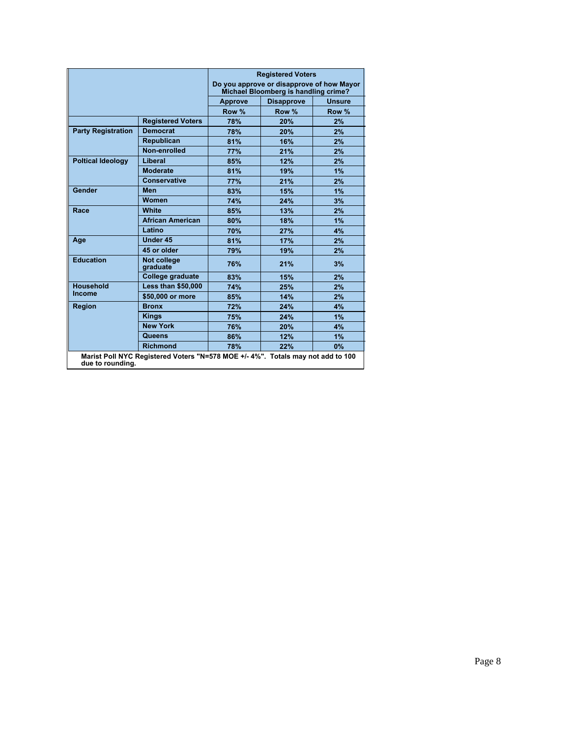|                           |                                                                                 |                | <b>Registered Voters</b><br>Do you approve or disapprove of how Mayor<br>Michael Bloomberg is handling crime? |               |
|---------------------------|---------------------------------------------------------------------------------|----------------|---------------------------------------------------------------------------------------------------------------|---------------|
|                           |                                                                                 | <b>Approve</b> | <b>Disapprove</b>                                                                                             | <b>Unsure</b> |
|                           |                                                                                 | Row %          | Row %                                                                                                         | Row %         |
|                           | <b>Registered Voters</b>                                                        | 78%            | 20%                                                                                                           | 2%            |
| <b>Party Registration</b> | <b>Democrat</b>                                                                 | 78%            | 20%                                                                                                           | 2%            |
|                           | <b>Republican</b>                                                               | 81%            | 16%                                                                                                           | 2%            |
|                           | Non-enrolled                                                                    | <b>77%</b>     | 21%                                                                                                           | 2%            |
| <b>Poltical Ideology</b>  | Liberal                                                                         | 85%            | 12%                                                                                                           | 2%            |
|                           | <b>Moderate</b>                                                                 | 81%            | 19%                                                                                                           | 1%            |
|                           | Conservative                                                                    | <b>77%</b>     | 21%                                                                                                           | 2%            |
| Gender                    | <b>Men</b>                                                                      | 83%            | 15%                                                                                                           | 1%            |
|                           | Women                                                                           | 74%            | 24%                                                                                                           | 3%            |
| Race                      | <b>White</b>                                                                    | 85%            | 13%                                                                                                           | 2%            |
|                           | <b>African American</b>                                                         | 80%            | 18%                                                                                                           | 1%            |
|                           | Latino                                                                          | 70%            | 27%                                                                                                           | 4%            |
| Age                       | <b>Under 45</b>                                                                 | 81%            | 17%                                                                                                           | 2%            |
|                           | 45 or older                                                                     | 79%            | 19%                                                                                                           | 2%            |
| <b>Education</b>          | Not college<br>graduate                                                         | 76%            | 21%                                                                                                           | 3%            |
|                           | College graduate                                                                | 83%            | 15%                                                                                                           | 2%            |
| <b>Household</b>          | <b>Less than \$50,000</b>                                                       | 74%            | 25%                                                                                                           | 2%            |
| Income                    | \$50,000 or more                                                                | 85%            | 14%                                                                                                           | 2%            |
| <b>Region</b>             | <b>Bronx</b>                                                                    | 72%            | 24%                                                                                                           | 4%            |
|                           | <b>Kings</b>                                                                    | 75%            | 24%                                                                                                           | 1%            |
|                           | <b>New York</b>                                                                 | 76%            | 20%                                                                                                           | 4%            |
|                           | Queens                                                                          | 86%            | 12%                                                                                                           | 1%            |
|                           | <b>Richmond</b>                                                                 | 78%            | 22%                                                                                                           | 0%            |
| due to rounding.          | Marist Poll NYC Registered Voters "N=578 MOE +/- 4%". Totals may not add to 100 |                |                                                                                                               |               |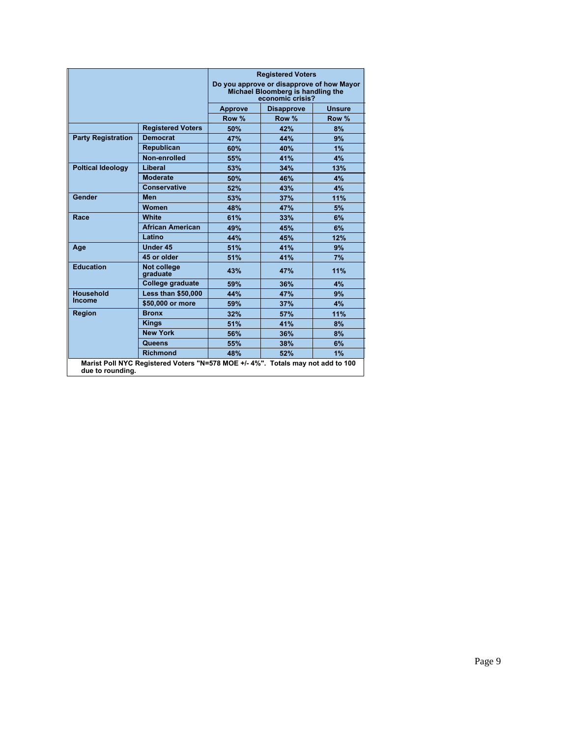|                           |                           |                | <b>Registered Voters</b>                                                                           |               |
|---------------------------|---------------------------|----------------|----------------------------------------------------------------------------------------------------|---------------|
|                           |                           |                | Do you approve or disapprove of how Mayor<br>Michael Bloomberg is handling the<br>economic crisis? |               |
|                           |                           | <b>Approve</b> | <b>Disapprove</b>                                                                                  | <b>Unsure</b> |
|                           |                           | Row %          | Row %                                                                                              | Row %         |
|                           | <b>Registered Voters</b>  | 50%            | 42%                                                                                                | 8%            |
| <b>Party Registration</b> | <b>Democrat</b>           | 47%            | 44%                                                                                                | 9%            |
|                           | Republican                | 60%            | 40%                                                                                                | 1%            |
|                           | Non-enrolled              | 55%            | 41%                                                                                                | 4%            |
| <b>Poltical Ideology</b>  | Liberal                   | 53%            | 34%                                                                                                | 13%           |
|                           | <b>Moderate</b>           | 50%            | 46%                                                                                                | 4%            |
|                           | <b>Conservative</b>       | 52%            | 43%                                                                                                | 4%            |
| <b>Gender</b>             | <b>Men</b>                | 53%            | 37%                                                                                                | 11%           |
|                           | Women                     | 48%            | 47%                                                                                                | 5%            |
| Race                      | <b>White</b>              | 61%            | 33%                                                                                                | 6%            |
|                           | <b>African American</b>   | 49%            | 45%                                                                                                | 6%            |
|                           | Latino                    | 44%            | 45%                                                                                                | 12%           |
| Age                       | <b>Under 45</b>           | 51%            | 41%                                                                                                | 9%            |
|                           | 45 or older               | 51%            | 41%                                                                                                | 7%            |
| <b>Education</b>          | Not college<br>graduate   | 43%            | 47%                                                                                                | 11%           |
|                           | College graduate          | 59%            | 36%                                                                                                | 4%            |
| <b>Household</b>          | <b>Less than \$50,000</b> | 44%            | 47%                                                                                                | 9%            |
| <b>Income</b>             | \$50,000 or more          | 59%            | 37%                                                                                                | 4%            |
| <b>Region</b>             | <b>Bronx</b>              | 32%            | 57%                                                                                                | 11%           |
|                           | <b>Kings</b>              | 51%            | 41%                                                                                                | 8%            |
|                           | <b>New York</b>           | 56%            | 36%                                                                                                | 8%            |
|                           | Queens                    | 55%            | 38%                                                                                                | 6%            |
|                           | <b>Richmond</b>           | 48%            | 52%                                                                                                | 1%            |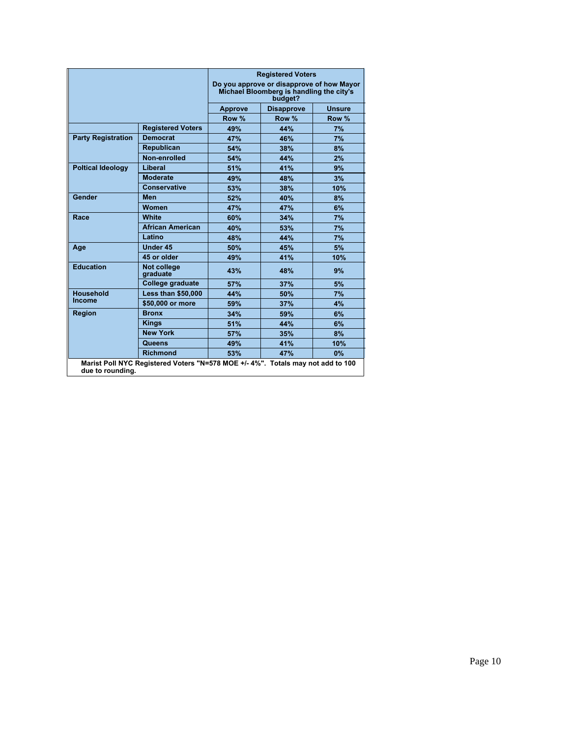|                           |                                                                                |                | <b>Registered Voters</b><br>Do you approve or disapprove of how Mayor<br>Michael Bloomberg is handling the city's<br>budget? |        |
|---------------------------|--------------------------------------------------------------------------------|----------------|------------------------------------------------------------------------------------------------------------------------------|--------|
|                           |                                                                                | <b>Approve</b> | <b>Disapprove</b>                                                                                                            | Unsure |
|                           |                                                                                | Row %          | Row %                                                                                                                        | Row %  |
|                           | <b>Registered Voters</b>                                                       | 49%            | 44%                                                                                                                          | 7%     |
| <b>Party Registration</b> | <b>Democrat</b>                                                                | 47%            | 46%                                                                                                                          | 7%     |
|                           | Republican                                                                     | 54%            | 38%                                                                                                                          | 8%     |
|                           | Non-enrolled                                                                   | 54%            | 44%                                                                                                                          | 2%     |
| <b>Poltical Ideology</b>  | Liberal                                                                        | 51%            | 41%                                                                                                                          | 9%     |
|                           | <b>Moderate</b>                                                                | 49%            | 48%                                                                                                                          | 3%     |
|                           | <b>Conservative</b>                                                            | 53%            | 38%                                                                                                                          | 10%    |
| <b>Gender</b>             | <b>Men</b>                                                                     | 52%            | 40%                                                                                                                          | 8%     |
|                           | Women                                                                          | 47%            | 47%                                                                                                                          | 6%     |
| Race                      | <b>White</b>                                                                   | 60%            | 34%                                                                                                                          | 7%     |
|                           | <b>African American</b>                                                        | 40%            | 53%                                                                                                                          | 7%     |
|                           | Latino                                                                         | 48%            | 44%                                                                                                                          | 7%     |
| Age                       | <b>Under 45</b>                                                                | 50%            | 45%                                                                                                                          | 5%     |
|                           | 45 or older                                                                    | 49%            | 41%                                                                                                                          | 10%    |
| <b>Education</b>          | <b>Not college</b><br>araduate                                                 | 43%            | 48%                                                                                                                          | 9%     |
|                           | College graduate                                                               | 57%            | 37%                                                                                                                          | 5%     |
| <b>Household</b>          | <b>Less than \$50,000</b>                                                      | 44%            | 50%                                                                                                                          | 7%     |
| Income                    | \$50,000 or more                                                               | 59%            | 37%                                                                                                                          | 4%     |
| <b>Region</b>             | <b>Bronx</b>                                                                   | 34%            | 59%                                                                                                                          | 6%     |
|                           | <b>Kings</b>                                                                   | 51%            | 44%                                                                                                                          | 6%     |
|                           | <b>New York</b>                                                                | 57%            | 35%                                                                                                                          | 8%     |
|                           | Queens                                                                         | 49%            | 41%                                                                                                                          | 10%    |
|                           | <b>Richmond</b>                                                                | 53%            | 47%                                                                                                                          | $0\%$  |
| due to rounding.          | Marist Poll NYC Registered Voters "N=578 MOE +/-4%". Totals may not add to 100 |                |                                                                                                                              |        |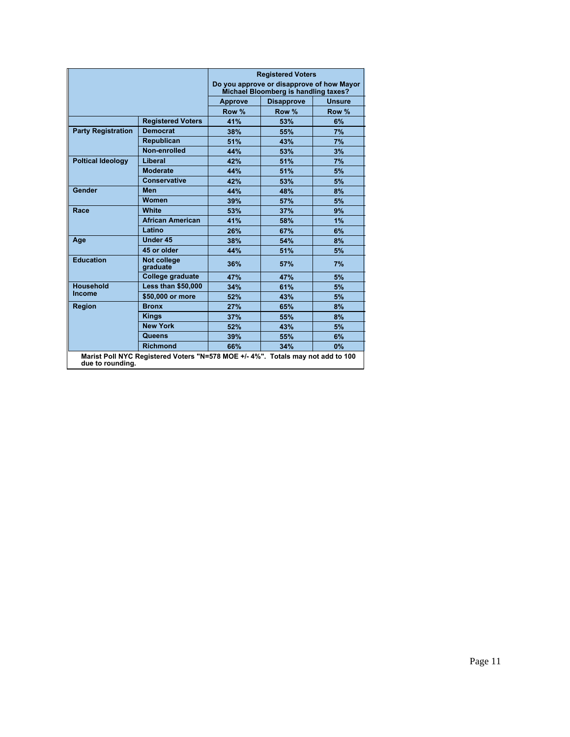|                           |                           |                | <b>Registered Voters</b><br>Do you approve or disapprove of how Mayor<br>Michael Bloomberg is handling taxes? |               |
|---------------------------|---------------------------|----------------|---------------------------------------------------------------------------------------------------------------|---------------|
|                           |                           | <b>Approve</b> | <b>Disapprove</b>                                                                                             | <b>Unsure</b> |
|                           |                           | Row %          | Row %                                                                                                         | Row %         |
|                           | <b>Registered Voters</b>  | 41%            | 53%                                                                                                           | 6%            |
| <b>Party Registration</b> | <b>Democrat</b>           | 38%            | 55%                                                                                                           | 7%            |
|                           | <b>Republican</b>         | 51%            | 43%                                                                                                           | 7%            |
|                           | Non-enrolled              | 44%            | 53%                                                                                                           | 3%            |
| <b>Poltical Ideology</b>  | Liberal                   | 42%            | 51%                                                                                                           | 7%            |
|                           | <b>Moderate</b>           | 44%            | 51%                                                                                                           | 5%            |
|                           | Conservative              | 42%            | 53%                                                                                                           | 5%            |
| Gender                    | <b>Men</b>                | 44%            | 48%                                                                                                           | 8%            |
|                           | <b>Women</b>              | 39%            | 57%                                                                                                           | 5%            |
| Race                      | <b>White</b>              | 53%            | 37%                                                                                                           | 9%            |
|                           | <b>African American</b>   | 41%            | 58%                                                                                                           | 1%            |
|                           | Latino                    | 26%            | 67%                                                                                                           | 6%            |
| Age                       | <b>Under 45</b>           | 38%            | 54%                                                                                                           | 8%            |
|                           | 45 or older               | 44%            | 51%                                                                                                           | 5%            |
| <b>Education</b>          | Not college<br>graduate   | 36%            | 57%                                                                                                           | 7%            |
|                           | College graduate          | 47%            | 47%                                                                                                           | 5%            |
| <b>Household</b>          | <b>Less than \$50,000</b> | 34%            | 61%                                                                                                           | 5%            |
| Income                    | \$50,000 or more          | 52%            | 43%                                                                                                           | 5%            |
| <b>Region</b>             | <b>Bronx</b>              | 27%            | 65%                                                                                                           | 8%            |
|                           | <b>Kings</b>              | 37%            | 55%                                                                                                           | 8%            |
|                           | <b>New York</b>           | 52%            | 43%                                                                                                           | 5%            |
|                           | Queens                    | 39%            | 55%                                                                                                           | 6%            |
|                           | <b>Richmond</b>           | 66%            | 34%                                                                                                           | $0\%$         |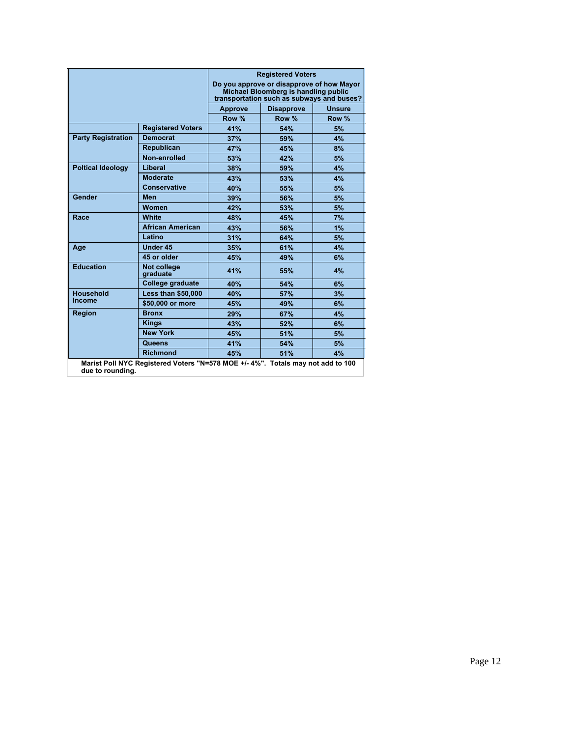|                           |                                                                                | <b>Registered Voters</b><br>Do you approve or disapprove of how Mayor<br>Michael Bloomberg is handling public<br>transportation such as subways and buses? |                   |               |  |
|---------------------------|--------------------------------------------------------------------------------|------------------------------------------------------------------------------------------------------------------------------------------------------------|-------------------|---------------|--|
|                           |                                                                                | <b>Approve</b>                                                                                                                                             | <b>Disapprove</b> | <b>Unsure</b> |  |
|                           |                                                                                | Row %                                                                                                                                                      | Row %             | Row %         |  |
|                           | <b>Registered Voters</b>                                                       | 41%                                                                                                                                                        | 54%               | 5%            |  |
| <b>Party Registration</b> | <b>Democrat</b>                                                                | 37%                                                                                                                                                        | 59%               | 4%            |  |
|                           | Republican                                                                     | 47%                                                                                                                                                        | 45%               | 8%            |  |
|                           | Non-enrolled                                                                   | 53%                                                                                                                                                        | 42%               | 5%            |  |
| <b>Poltical Ideology</b>  | Liberal                                                                        | 38%                                                                                                                                                        | 59%               | 4%            |  |
|                           | <b>Moderate</b>                                                                | 43%                                                                                                                                                        | 53%               | 4%            |  |
|                           | Conservative                                                                   | 40%                                                                                                                                                        | 55%               | 5%            |  |
| Gender                    | <b>Men</b>                                                                     | 39%                                                                                                                                                        | 56%               | 5%            |  |
|                           | Women                                                                          | 42%                                                                                                                                                        | 53%               | 5%            |  |
| Race                      | White                                                                          | 48%                                                                                                                                                        | 45%               | 7%            |  |
|                           | <b>African American</b>                                                        | 43%                                                                                                                                                        | 56%               | 1%            |  |
|                           | Latino                                                                         | 31%                                                                                                                                                        | 64%               | 5%            |  |
| Age                       | <b>Under 45</b>                                                                | 35%                                                                                                                                                        | 61%               | 4%            |  |
|                           | 45 or older                                                                    | 45%                                                                                                                                                        | 49%               | 6%            |  |
| <b>Education</b>          | <b>Not college</b><br>graduate                                                 | 41%                                                                                                                                                        | 55%               | 4%            |  |
|                           | College graduate                                                               | 40%                                                                                                                                                        | 54%               | 6%            |  |
| <b>Household</b>          | <b>Less than \$50,000</b>                                                      | 40%                                                                                                                                                        | 57%               | 3%            |  |
| Income                    | \$50,000 or more                                                               | 45%                                                                                                                                                        | 49%               | 6%            |  |
| <b>Region</b>             | <b>Bronx</b>                                                                   | 29%                                                                                                                                                        | 67%               | 4%            |  |
|                           | <b>Kings</b>                                                                   | 43%                                                                                                                                                        | 52%               | 6%            |  |
|                           | <b>New York</b>                                                                | 45%                                                                                                                                                        | 51%               | 5%            |  |
|                           | Queens                                                                         | 41%                                                                                                                                                        | 54%               | 5%            |  |
|                           | <b>Richmond</b>                                                                | 45%                                                                                                                                                        | 51%               | 4%            |  |
| due to rounding.          | Marist Poll NYC Registered Voters "N=578 MOE +/-4%". Totals may not add to 100 |                                                                                                                                                            |                   |               |  |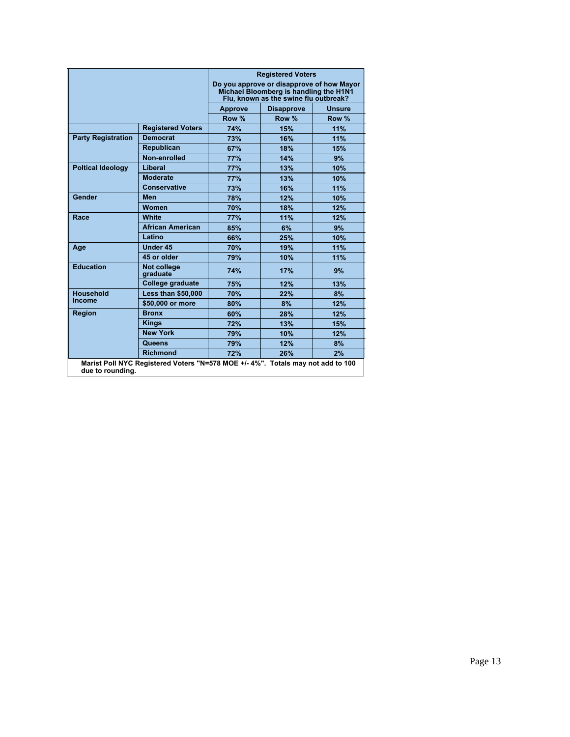|                           |                                                                                | <b>Registered Voters</b><br>Do you approve or disapprove of how Mayor<br>Michael Bloomberg is handling the H1N1<br>Flu, known as the swine flu outbreak? |                   |               |  |
|---------------------------|--------------------------------------------------------------------------------|----------------------------------------------------------------------------------------------------------------------------------------------------------|-------------------|---------------|--|
|                           |                                                                                | <b>Approve</b>                                                                                                                                           | <b>Disapprove</b> | <b>Unsure</b> |  |
|                           |                                                                                | Row %                                                                                                                                                    | Row %             | Row %         |  |
|                           | <b>Registered Voters</b>                                                       | 74%                                                                                                                                                      | 15%               | 11%           |  |
| <b>Party Registration</b> | <b>Democrat</b>                                                                | 73%                                                                                                                                                      | 16%               | 11%           |  |
|                           | Republican                                                                     | 67%                                                                                                                                                      | 18%               | 15%           |  |
|                           | Non-enrolled                                                                   | 77%                                                                                                                                                      | 14%               | 9%            |  |
| <b>Poltical Ideology</b>  | Liberal                                                                        | 77%                                                                                                                                                      | 13%               | 10%           |  |
|                           | <b>Moderate</b>                                                                | <b>77%</b>                                                                                                                                               | 13%               | 10%           |  |
|                           | <b>Conservative</b>                                                            | 73%                                                                                                                                                      | 16%               | 11%           |  |
| Gender                    | <b>Men</b>                                                                     | 78%                                                                                                                                                      | 12%               | 10%           |  |
|                           | Women                                                                          | 70%                                                                                                                                                      | 18%               | 12%           |  |
| Race                      | White                                                                          | 77%                                                                                                                                                      | 11%               | 12%           |  |
|                           | <b>African American</b>                                                        | 85%                                                                                                                                                      | 6%                | 9%            |  |
|                           | Latino                                                                         | 66%                                                                                                                                                      | 25%               | 10%           |  |
| Age                       | <b>Under 45</b>                                                                | 70%                                                                                                                                                      | 19%               | 11%           |  |
|                           | 45 or older                                                                    | 79%                                                                                                                                                      | 10%               | 11%           |  |
| <b>Education</b>          | <b>Not college</b><br><b>graduate</b>                                          | 74%                                                                                                                                                      | 17%               | 9%            |  |
|                           | College graduate                                                               | 75%                                                                                                                                                      | 12%               | 13%           |  |
| <b>Household</b>          | <b>Less than \$50,000</b>                                                      | 70%                                                                                                                                                      | 22%               | 8%            |  |
| Income                    | \$50,000 or more                                                               | 80%                                                                                                                                                      | 8%                | 12%           |  |
| <b>Region</b>             | <b>Bronx</b>                                                                   | 60%                                                                                                                                                      | 28%               | 12%           |  |
|                           | <b>Kings</b>                                                                   | 72%                                                                                                                                                      | 13%               | 15%           |  |
|                           | <b>New York</b>                                                                | 79%                                                                                                                                                      | 10%               | 12%           |  |
|                           | Queens                                                                         | 79%                                                                                                                                                      | 12%               | 8%            |  |
|                           | <b>Richmond</b>                                                                | 72%                                                                                                                                                      | 26%               | 2%            |  |
| due to rounding.          | Marist Poll NYC Registered Voters "N=578 MOE +/-4%". Totals may not add to 100 |                                                                                                                                                          |                   |               |  |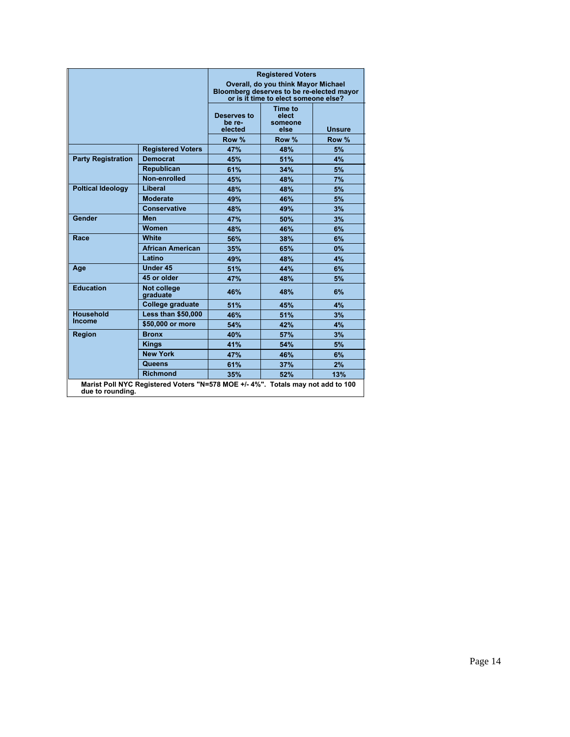|                           |                                                                                 | <b>Registered Voters</b><br>Overall, do you think Mayor Michael<br>Bloomberg deserves to be re-elected mayor<br>or is it time to elect someone else? |                                     |               |
|---------------------------|---------------------------------------------------------------------------------|------------------------------------------------------------------------------------------------------------------------------------------------------|-------------------------------------|---------------|
|                           |                                                                                 | Deserves to<br>be re-<br>elected                                                                                                                     | Time to<br>elect<br>someone<br>else | <b>Unsure</b> |
|                           |                                                                                 | Row %                                                                                                                                                | Row %                               | Row %         |
|                           | <b>Registered Voters</b>                                                        | 47%                                                                                                                                                  | 48%                                 | 5%            |
| <b>Party Registration</b> | <b>Democrat</b>                                                                 | 45%                                                                                                                                                  | 51%                                 | 4%            |
|                           | <b>Republican</b>                                                               | 61%                                                                                                                                                  | 34%                                 | 5%            |
|                           | Non-enrolled                                                                    | 45%                                                                                                                                                  | 48%                                 | 7%            |
| <b>Poltical Ideology</b>  | Liberal                                                                         | 48%                                                                                                                                                  | 48%                                 | 5%            |
|                           | <b>Moderate</b>                                                                 | 49%                                                                                                                                                  | 46%                                 | 5%            |
|                           | <b>Conservative</b>                                                             | 48%                                                                                                                                                  | 49%                                 | 3%            |
| Gender                    | <b>Men</b>                                                                      | 47%                                                                                                                                                  | 50%                                 | 3%            |
|                           | Women                                                                           | 48%                                                                                                                                                  | 46%                                 | 6%            |
| Race                      | <b>White</b>                                                                    | 56%                                                                                                                                                  | 38%                                 | 6%            |
|                           | <b>African American</b>                                                         | 35%                                                                                                                                                  | 65%                                 | $0\%$         |
|                           | Latino                                                                          | 49%                                                                                                                                                  | 48%                                 | 4%            |
| Age                       | Under 45                                                                        | 51%                                                                                                                                                  | 44%                                 | 6%            |
|                           | 45 or older                                                                     | 47%                                                                                                                                                  | 48%                                 | 5%            |
| <b>Education</b>          | <b>Not college</b><br>graduate                                                  | 46%                                                                                                                                                  | 48%                                 | 6%            |
|                           | College graduate                                                                | 51%                                                                                                                                                  | 45%                                 | 4%            |
| <b>Household</b>          | <b>Less than \$50,000</b>                                                       | 46%                                                                                                                                                  | 51%                                 | 3%            |
| <b>Income</b>             | \$50,000 or more                                                                | 54%                                                                                                                                                  | 42%                                 | 4%            |
| <b>Region</b>             | <b>Bronx</b>                                                                    | 40%                                                                                                                                                  | 57%                                 | 3%            |
|                           | <b>Kings</b>                                                                    | 41%                                                                                                                                                  | 54%                                 | 5%            |
|                           | <b>New York</b>                                                                 | 47%                                                                                                                                                  | 46%                                 | 6%            |
|                           | Queens                                                                          | 61%                                                                                                                                                  | 37%                                 | 2%            |
|                           | <b>Richmond</b>                                                                 | 35%                                                                                                                                                  | 52%                                 | 13%           |
| due to rounding.          | Marist Poll NYC Registered Voters "N=578 MOE +/- 4%". Totals may not add to 100 |                                                                                                                                                      |                                     |               |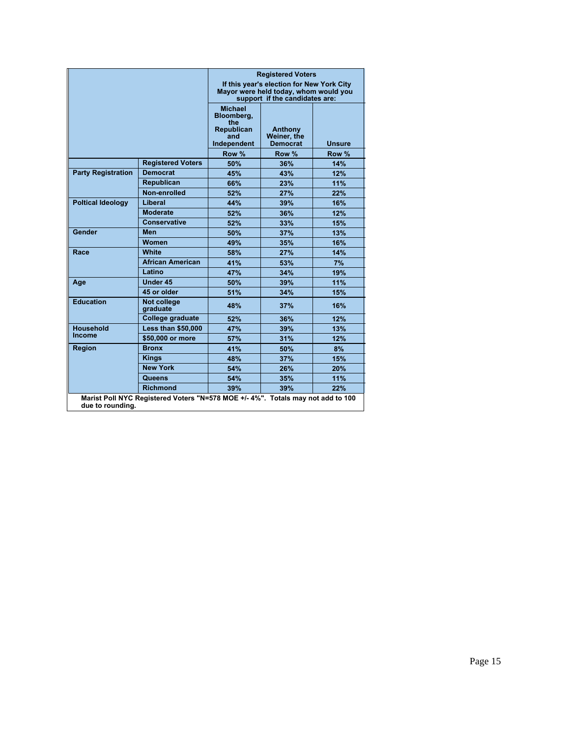|                           |                                                                                | <b>Registered Voters</b><br>If this year's election for New York City<br>Mayor were held today, whom would you<br>support if the candidates are: |                                           |               |  |
|---------------------------|--------------------------------------------------------------------------------|--------------------------------------------------------------------------------------------------------------------------------------------------|-------------------------------------------|---------------|--|
|                           |                                                                                | <b>Michael</b><br>Bloombera.<br>the<br><b>Republican</b><br>and<br>Independent                                                                   | Anthony<br>Weiner, the<br><b>Democrat</b> | <b>Unsure</b> |  |
|                           |                                                                                | Row %                                                                                                                                            | Row %                                     | Row %         |  |
|                           | <b>Registered Voters</b>                                                       | 50%                                                                                                                                              | 36%                                       | 14%           |  |
| <b>Party Registration</b> | <b>Democrat</b>                                                                | 45%                                                                                                                                              | 43%                                       | 12%           |  |
|                           | <b>Republican</b>                                                              | 66%                                                                                                                                              | 23%                                       | 11%           |  |
|                           | Non-enrolled                                                                   | 52%                                                                                                                                              | 27%                                       | 22%           |  |
| <b>Poltical Ideology</b>  | Liberal                                                                        | 44%                                                                                                                                              | 39%                                       | 16%           |  |
|                           | <b>Moderate</b>                                                                | 52%                                                                                                                                              | 36%                                       | 12%           |  |
|                           | <b>Conservative</b>                                                            | 52%                                                                                                                                              | 33%                                       | 15%           |  |
| Gender                    | Men                                                                            | 50%                                                                                                                                              | 37%                                       | 13%           |  |
|                           | Women                                                                          | 49%                                                                                                                                              | 35%                                       | 16%           |  |
| Race                      | <b>White</b>                                                                   | 58%                                                                                                                                              | 27%                                       | 14%           |  |
|                           | <b>African American</b>                                                        | 41%                                                                                                                                              | 53%                                       | 7%            |  |
|                           | Latino                                                                         | 47%                                                                                                                                              | 34%                                       | 19%           |  |
| Age                       | <b>Under 45</b>                                                                | 50%                                                                                                                                              | 39%                                       | 11%           |  |
|                           | 45 or older                                                                    | 51%                                                                                                                                              | 34%                                       | 15%           |  |
| <b>Education</b>          | Not college<br><b>graduate</b>                                                 | 48%                                                                                                                                              | 37%                                       | 16%           |  |
|                           | College graduate                                                               | 52%                                                                                                                                              | 36%                                       | 12%           |  |
| <b>Household</b>          | <b>Less than \$50,000</b>                                                      | 47%                                                                                                                                              | 39%                                       | 13%           |  |
| Income                    | \$50,000 or more                                                               | 57%                                                                                                                                              | 31%                                       | 12%           |  |
| Region                    | <b>Bronx</b>                                                                   | 41%                                                                                                                                              | 50%                                       | 8%            |  |
|                           | <b>Kings</b>                                                                   | 48%                                                                                                                                              | 37%                                       | 15%           |  |
|                           | <b>New York</b>                                                                | 54%                                                                                                                                              | 26%                                       | 20%           |  |
|                           | Queens                                                                         | 54%                                                                                                                                              | 35%                                       | 11%           |  |
|                           | <b>Richmond</b>                                                                | 39%                                                                                                                                              | 39%                                       | 22%           |  |
| due to rounding.          | Marist Poll NYC Registered Voters "N=578 MOE +/-4%". Totals may not add to 100 |                                                                                                                                                  |                                           |               |  |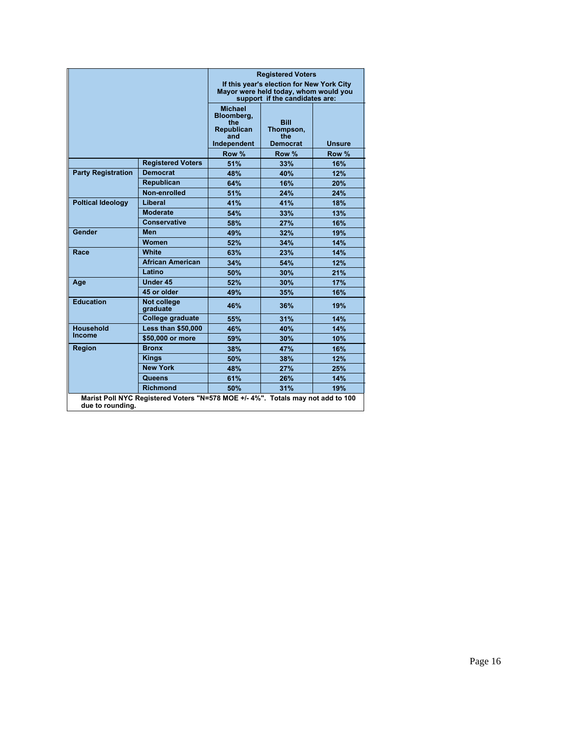|                           |                                                                                | <b>Registered Voters</b><br>If this year's election for New York City<br>Mayor were held today, whom would you<br>support if the candidates are: |                                                    |        |  |
|---------------------------|--------------------------------------------------------------------------------|--------------------------------------------------------------------------------------------------------------------------------------------------|----------------------------------------------------|--------|--|
|                           |                                                                                | <b>Michael</b><br>Bloomberg,<br>the<br><b>Republican</b><br>and<br>Independent                                                                   | <b>Bill</b><br>Thompson,<br>the<br><b>Democrat</b> | Unsure |  |
|                           |                                                                                | Row %                                                                                                                                            | Row %                                              | Row %  |  |
|                           | <b>Registered Voters</b>                                                       | 51%                                                                                                                                              | 33%                                                | 16%    |  |
| <b>Party Registration</b> | <b>Democrat</b>                                                                | 48%                                                                                                                                              | 40%                                                | 12%    |  |
|                           | <b>Republican</b>                                                              | 64%                                                                                                                                              | 16%                                                | 20%    |  |
|                           | Non-enrolled                                                                   | 51%                                                                                                                                              | 24%                                                | 24%    |  |
| <b>Poltical Ideology</b>  | Liberal                                                                        | 41%                                                                                                                                              | 41%                                                | 18%    |  |
|                           | <b>Moderate</b>                                                                | 54%                                                                                                                                              | 33%                                                | 13%    |  |
|                           | <b>Conservative</b>                                                            | 58%                                                                                                                                              | 27%                                                | 16%    |  |
| Gender                    | Men                                                                            | 49%                                                                                                                                              | 32%                                                | 19%    |  |
|                           | <b>Women</b>                                                                   | 52%                                                                                                                                              | 34%                                                | 14%    |  |
| Race                      | White                                                                          | 63%                                                                                                                                              | 23%                                                | 14%    |  |
|                           | <b>African American</b>                                                        | 34%                                                                                                                                              | 54%                                                | 12%    |  |
|                           | Latino                                                                         | 50%                                                                                                                                              | 30%                                                | 21%    |  |
| Age                       | <b>Under 45</b>                                                                | 52%                                                                                                                                              | 30%                                                | 17%    |  |
|                           | 45 or older                                                                    | 49%                                                                                                                                              | 35%                                                | 16%    |  |
| <b>Education</b>          | Not college<br><b>graduate</b>                                                 | 46%                                                                                                                                              | 36%                                                | 19%    |  |
|                           | College graduate                                                               | 55%                                                                                                                                              | 31%                                                | 14%    |  |
| <b>Household</b>          | <b>Less than \$50,000</b>                                                      | 46%                                                                                                                                              | 40%                                                | 14%    |  |
| Income                    | \$50,000 or more                                                               | 59%                                                                                                                                              | 30%                                                | 10%    |  |
| Region                    | <b>Bronx</b>                                                                   | 38%                                                                                                                                              | 47%                                                | 16%    |  |
|                           | <b>Kings</b>                                                                   | 50%                                                                                                                                              | 38%                                                | 12%    |  |
|                           | <b>New York</b>                                                                | 48%                                                                                                                                              | 27%                                                | 25%    |  |
|                           | Queens                                                                         | 61%                                                                                                                                              | 26%                                                | 14%    |  |
|                           | <b>Richmond</b>                                                                | 50%                                                                                                                                              | 31%                                                | 19%    |  |
| due to rounding.          | Marist Poll NYC Registered Voters "N=578 MOE +/-4%". Totals may not add to 100 |                                                                                                                                                  |                                                    |        |  |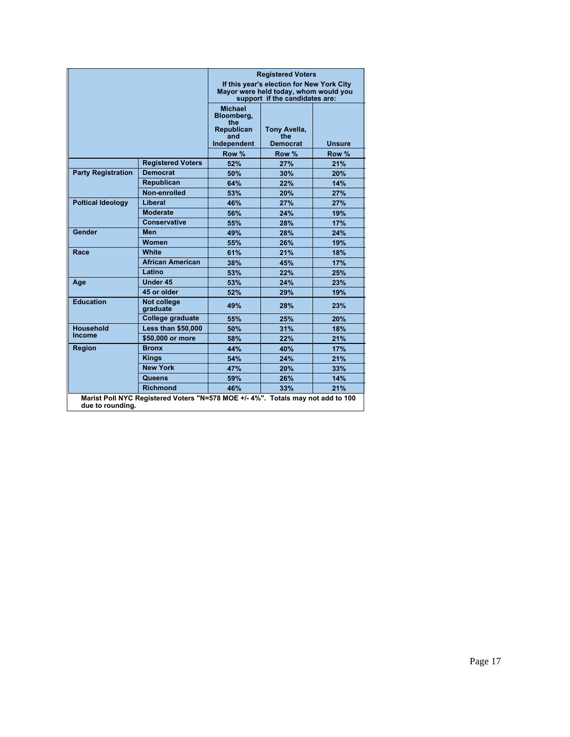|                           |                                                                                | <b>Registered Voters</b><br>If this year's election for New York City<br>Mayor were held today, whom would you<br>support if the candidates are: |                                        |               |  |
|---------------------------|--------------------------------------------------------------------------------|--------------------------------------------------------------------------------------------------------------------------------------------------|----------------------------------------|---------------|--|
|                           |                                                                                | <b>Michael</b><br>Bloombera.<br>the<br><b>Republican</b><br>and<br>Independent                                                                   | Tony Avella,<br>the<br><b>Democrat</b> | <b>Unsure</b> |  |
|                           |                                                                                | Row %                                                                                                                                            | Row %                                  | Row %         |  |
|                           | <b>Registered Voters</b>                                                       | 52%                                                                                                                                              | 27%                                    | 21%           |  |
| <b>Party Registration</b> | <b>Democrat</b>                                                                | 50%                                                                                                                                              | 30%                                    | 20%           |  |
|                           | <b>Republican</b>                                                              | 64%                                                                                                                                              | 22%                                    | 14%           |  |
|                           | Non-enrolled                                                                   | 53%                                                                                                                                              | 20%                                    | 27%           |  |
| <b>Poltical Ideology</b>  | Liberal                                                                        | 46%                                                                                                                                              | 27%                                    | 27%           |  |
|                           | <b>Moderate</b>                                                                | 56%                                                                                                                                              | 24%                                    | 19%           |  |
|                           | <b>Conservative</b>                                                            | 55%                                                                                                                                              | 28%                                    | 17%           |  |
| Gender                    | Men                                                                            | 49%                                                                                                                                              | 28%                                    | 24%           |  |
|                           | Women                                                                          | 55%                                                                                                                                              | 26%                                    | 19%           |  |
| Race                      | <b>White</b>                                                                   | 61%                                                                                                                                              | 21%                                    | 18%           |  |
|                           | <b>African American</b>                                                        | 38%                                                                                                                                              | 45%                                    | 17%           |  |
|                           | Latino                                                                         | 53%                                                                                                                                              | 22%                                    | 25%           |  |
| Age                       | <b>Under 45</b>                                                                | 53%                                                                                                                                              | 24%                                    | 23%           |  |
|                           | 45 or older                                                                    | 52%                                                                                                                                              | 29%                                    | 19%           |  |
| <b>Education</b>          | Not college<br><b>graduate</b>                                                 | 49%                                                                                                                                              | 28%                                    | 23%           |  |
|                           | College graduate                                                               | 55%                                                                                                                                              | 25%                                    | 20%           |  |
| <b>Household</b>          | <b>Less than \$50,000</b>                                                      | 50%                                                                                                                                              | 31%                                    | 18%           |  |
| Income                    | \$50,000 or more                                                               | 58%                                                                                                                                              | 22%                                    | 21%           |  |
| Region                    | <b>Bronx</b>                                                                   | 44%                                                                                                                                              | 40%                                    | 17%           |  |
|                           | <b>Kings</b>                                                                   | 54%                                                                                                                                              | 24%                                    | 21%           |  |
|                           | <b>New York</b>                                                                | 47%                                                                                                                                              | 20%                                    | 33%           |  |
|                           | Queens                                                                         | 59%                                                                                                                                              | 26%                                    | 14%           |  |
|                           | <b>Richmond</b>                                                                | 46%                                                                                                                                              | 33%                                    | 21%           |  |
| due to rounding.          | Marist Poll NYC Registered Voters "N=578 MOE +/-4%". Totals may not add to 100 |                                                                                                                                                  |                                        |               |  |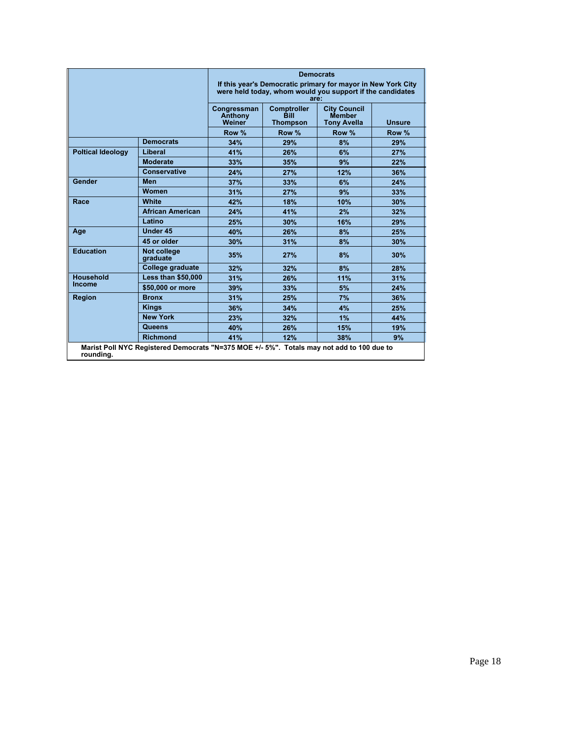|                                                                                                        |                           | <b>Democrats</b><br>If this year's Democratic primary for mayor in New York City<br>were held today, whom would you support if the candidates<br>are: |                                                      |                                                     |               |  |
|--------------------------------------------------------------------------------------------------------|---------------------------|-------------------------------------------------------------------------------------------------------------------------------------------------------|------------------------------------------------------|-----------------------------------------------------|---------------|--|
|                                                                                                        |                           | Congressman<br>Anthony<br>Weiner                                                                                                                      | <b>Comptroller</b><br><b>Bill</b><br><b>Thompson</b> | <b>City Council</b><br>Member<br><b>Tony Avella</b> | <b>Unsure</b> |  |
|                                                                                                        |                           | Row %                                                                                                                                                 | Row %                                                | Row %                                               | Row %         |  |
|                                                                                                        | <b>Democrats</b>          | 34%                                                                                                                                                   | 29%                                                  | 8%                                                  | 29%           |  |
| <b>Poltical Ideology</b>                                                                               | Liberal                   | 41%                                                                                                                                                   | 26%                                                  | 6%                                                  | 27%           |  |
|                                                                                                        | <b>Moderate</b>           | 33%                                                                                                                                                   | 35%                                                  | 9%                                                  | 22%           |  |
|                                                                                                        | <b>Conservative</b>       | 24%                                                                                                                                                   | 27%                                                  | 12%                                                 | 36%           |  |
| Gender                                                                                                 | Men                       | 37%                                                                                                                                                   | 33%                                                  | 6%                                                  | 24%           |  |
|                                                                                                        | Women                     | 31%                                                                                                                                                   | 27%                                                  | 9%                                                  | 33%           |  |
| Race                                                                                                   | <b>White</b>              | 42%                                                                                                                                                   | 18%                                                  | 10%                                                 | 30%           |  |
|                                                                                                        | <b>African American</b>   | 24%                                                                                                                                                   | 41%                                                  | 2%                                                  | 32%           |  |
|                                                                                                        | Latino                    | 25%                                                                                                                                                   | 30%                                                  | 16%                                                 | 29%           |  |
| Age                                                                                                    | Under 45                  | 40%                                                                                                                                                   | 26%                                                  | 8%                                                  | 25%           |  |
|                                                                                                        | 45 or older               | 30%                                                                                                                                                   | 31%                                                  | 8%                                                  | 30%           |  |
| <b>Education</b>                                                                                       | Not college<br>graduate   | 35%                                                                                                                                                   | 27%                                                  | 8%                                                  | 30%           |  |
|                                                                                                        | College graduate          | 32%                                                                                                                                                   | 32%                                                  | 8%                                                  | 28%           |  |
| <b>Household</b>                                                                                       | <b>Less than \$50,000</b> | 31%                                                                                                                                                   | 26%                                                  | 11%                                                 | 31%           |  |
| Income                                                                                                 | \$50,000 or more          | 39%                                                                                                                                                   | 33%                                                  | 5%                                                  | 24%           |  |
| <b>Region</b>                                                                                          | <b>Bronx</b>              | 31%                                                                                                                                                   | 25%                                                  | 7%                                                  | 36%           |  |
|                                                                                                        | <b>Kings</b>              | 36%                                                                                                                                                   | 34%                                                  | 4%                                                  | 25%           |  |
|                                                                                                        | <b>New York</b>           | 23%                                                                                                                                                   | 32%                                                  | 1%                                                  | 44%           |  |
|                                                                                                        | Queens                    | 40%                                                                                                                                                   | 26%                                                  | 15%                                                 | 19%           |  |
|                                                                                                        | <b>Richmond</b>           | 41%                                                                                                                                                   | 12%                                                  | 38%                                                 | 9%            |  |
| Marist Poll NYC Registered Democrats "N=375 MOE +/- 5%". Totals may not add to 100 due to<br>rounding. |                           |                                                                                                                                                       |                                                      |                                                     |               |  |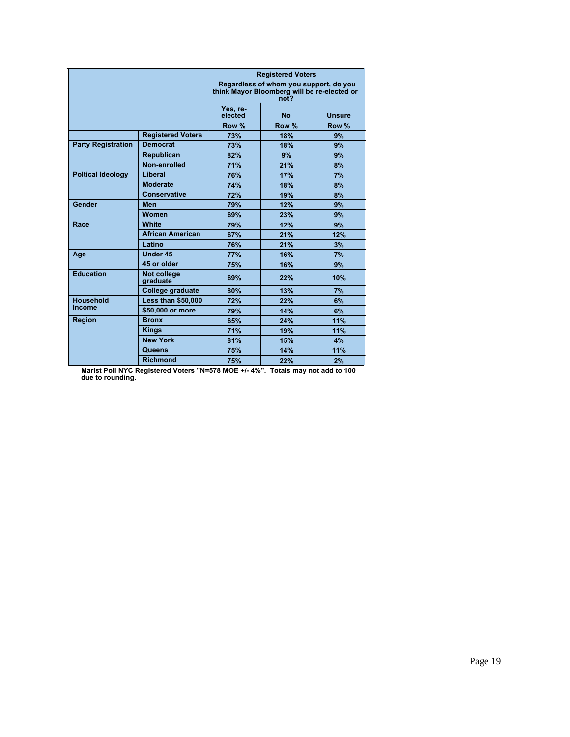|                           |                                                                                 | <b>Registered Voters</b><br>Regardless of whom you support, do you<br>think Mayor Bloomberg will be re-elected or<br>not? |           |               |  |
|---------------------------|---------------------------------------------------------------------------------|---------------------------------------------------------------------------------------------------------------------------|-----------|---------------|--|
|                           |                                                                                 | Yes, re-<br>elected                                                                                                       | <b>No</b> | <b>Unsure</b> |  |
|                           |                                                                                 | Row %                                                                                                                     | Row %     | Row %         |  |
|                           | <b>Registered Voters</b>                                                        | 73%                                                                                                                       | 18%       | 9%            |  |
| <b>Party Registration</b> | <b>Democrat</b>                                                                 | 73%                                                                                                                       | 18%       | 9%            |  |
|                           | <b>Republican</b>                                                               | 82%                                                                                                                       | 9%        | 9%            |  |
|                           | Non-enrolled                                                                    | 71%                                                                                                                       | 21%       | 8%            |  |
| <b>Poltical Ideology</b>  | Liberal                                                                         | 76%                                                                                                                       | 17%       | 7%            |  |
|                           | <b>Moderate</b>                                                                 | 74%                                                                                                                       | 18%       | 8%            |  |
|                           | <b>Conservative</b>                                                             | 72%                                                                                                                       | 19%       | 8%            |  |
| Gender                    | Men                                                                             | 79%                                                                                                                       | 12%       | 9%            |  |
|                           | <b>Women</b>                                                                    | 69%                                                                                                                       | 23%       | 9%            |  |
| Race                      | White                                                                           | 79%                                                                                                                       | 12%       | 9%            |  |
|                           | <b>African American</b>                                                         | 67%                                                                                                                       | 21%       | 12%           |  |
|                           | Latino                                                                          | 76%                                                                                                                       | 21%       | 3%            |  |
| Age                       | Under 45                                                                        | 77%                                                                                                                       | 16%       | 7%            |  |
|                           | 45 or older                                                                     | 75%                                                                                                                       | 16%       | 9%            |  |
| <b>Education</b>          | Not college<br>graduate                                                         | 69%                                                                                                                       | 22%       | 10%           |  |
|                           | College graduate                                                                | 80%                                                                                                                       | 13%       | 7%            |  |
| <b>Household</b>          | <b>Less than \$50,000</b>                                                       | 72%                                                                                                                       | 22%       | 6%            |  |
| <b>Income</b>             | \$50,000 or more                                                                | 79%                                                                                                                       | 14%       | 6%            |  |
| <b>Region</b>             | <b>Bronx</b>                                                                    | 65%                                                                                                                       | 24%       | 11%           |  |
|                           | <b>Kings</b>                                                                    | 71%                                                                                                                       | 19%       | 11%           |  |
|                           | <b>New York</b>                                                                 | 81%                                                                                                                       | 15%       | 4%            |  |
|                           | Queens                                                                          | 75%                                                                                                                       | 14%       | 11%           |  |
|                           | <b>Richmond</b>                                                                 | 75%                                                                                                                       | 22%       | 2%            |  |
| due to rounding.          | Marist Poll NYC Registered Voters "N=578 MOE +/- 4%". Totals may not add to 100 |                                                                                                                           |           |               |  |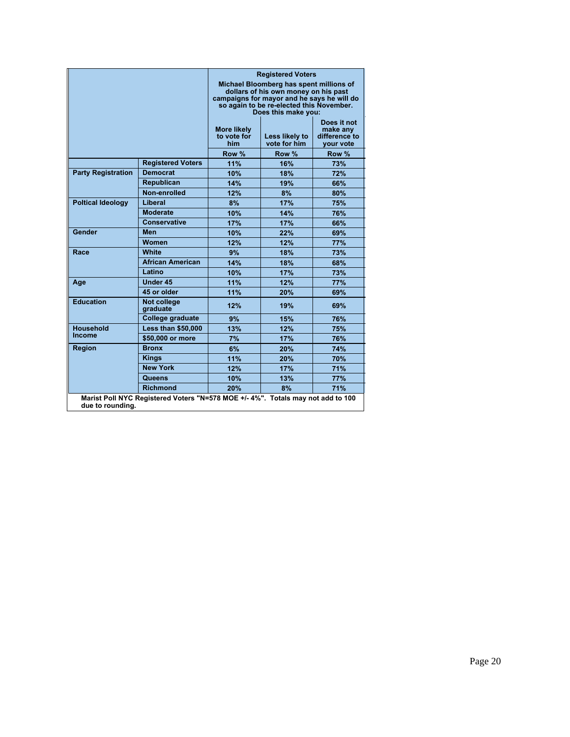|                           |                                                                                | <b>Registered Voters</b><br>Michael Bloomberg has spent millions of<br>dollars of his own money on his past<br>campaigns for mayor and he says he will do<br>so again to be re-elected this November.<br>Does this make you: |                                |                                                       |  |
|---------------------------|--------------------------------------------------------------------------------|------------------------------------------------------------------------------------------------------------------------------------------------------------------------------------------------------------------------------|--------------------------------|-------------------------------------------------------|--|
|                           |                                                                                | <b>More likely</b><br>to vote for<br>him                                                                                                                                                                                     | Less likely to<br>vote for him | Does it not<br>make any<br>difference to<br>vour vote |  |
|                           |                                                                                | Row %                                                                                                                                                                                                                        | Row %                          | Row %                                                 |  |
|                           | <b>Registered Voters</b>                                                       | 11%                                                                                                                                                                                                                          | 16%                            | 73%                                                   |  |
| <b>Party Registration</b> | <b>Democrat</b>                                                                | 10%                                                                                                                                                                                                                          | 18%                            | 72%                                                   |  |
|                           | Republican                                                                     | 14%                                                                                                                                                                                                                          | 19%                            | 66%                                                   |  |
|                           | Non-enrolled                                                                   | 12%                                                                                                                                                                                                                          | 8%                             | 80%                                                   |  |
| <b>Poltical Ideology</b>  | Liberal                                                                        | 8%                                                                                                                                                                                                                           | 17%                            | 75%                                                   |  |
|                           | <b>Moderate</b>                                                                | 10%                                                                                                                                                                                                                          | 14%                            | 76%                                                   |  |
|                           | <b>Conservative</b>                                                            | 17%                                                                                                                                                                                                                          | 17%                            | 66%                                                   |  |
| Gender                    | <b>Men</b>                                                                     | 10%                                                                                                                                                                                                                          | 22%                            | 69%                                                   |  |
|                           | Women                                                                          | 12%                                                                                                                                                                                                                          | 12%                            | 77%                                                   |  |
| Race                      | White                                                                          | 9%                                                                                                                                                                                                                           | 18%                            | 73%                                                   |  |
|                           | <b>African American</b>                                                        | 14%                                                                                                                                                                                                                          | 18%                            | 68%                                                   |  |
|                           | Latino                                                                         | 10%                                                                                                                                                                                                                          | 17%                            | 73%                                                   |  |
| Age                       | Under 45                                                                       | 11%                                                                                                                                                                                                                          | 12%                            | 77%                                                   |  |
|                           | 45 or older                                                                    | 11%                                                                                                                                                                                                                          | 20%                            | 69%                                                   |  |
| <b>Education</b>          | Not college<br>graduate                                                        | 12%                                                                                                                                                                                                                          | 19%                            | 69%                                                   |  |
|                           | College graduate                                                               | 9%                                                                                                                                                                                                                           | 15%                            | 76%                                                   |  |
| <b>Household</b>          | <b>Less than \$50,000</b>                                                      | 13%                                                                                                                                                                                                                          | 12%                            | 75%                                                   |  |
| <b>Income</b>             | \$50,000 or more                                                               | 7%                                                                                                                                                                                                                           | 17%                            | 76%                                                   |  |
| Region                    | <b>Bronx</b>                                                                   | 6%                                                                                                                                                                                                                           | 20%                            | 74%                                                   |  |
|                           | <b>Kings</b>                                                                   | 11%                                                                                                                                                                                                                          | 20%                            | 70%                                                   |  |
|                           | <b>New York</b>                                                                | 12%                                                                                                                                                                                                                          | 17%                            | 71%                                                   |  |
|                           | Queens                                                                         | 10%                                                                                                                                                                                                                          | 13%                            | <b>77%</b>                                            |  |
|                           | <b>Richmond</b>                                                                | 20%                                                                                                                                                                                                                          | 8%                             | 71%                                                   |  |
| due to rounding.          | Marist Poll NYC Registered Voters "N=578 MOE +/-4%". Totals may not add to 100 |                                                                                                                                                                                                                              |                                |                                                       |  |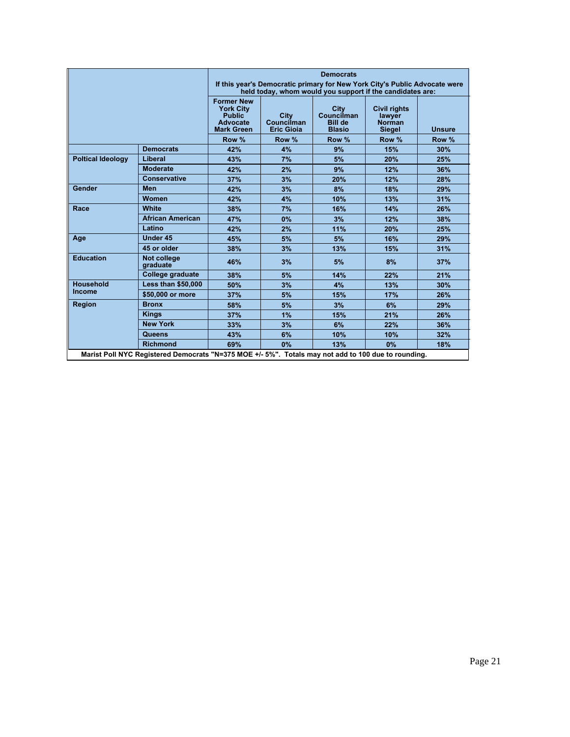|                          |                                                                                                     | <b>Democrats</b><br>If this year's Democratic primary for New York City's Public Advocate were<br>held today, whom would you support if the candidates are: |                                                |                                                              |                                                                 |               |
|--------------------------|-----------------------------------------------------------------------------------------------------|-------------------------------------------------------------------------------------------------------------------------------------------------------------|------------------------------------------------|--------------------------------------------------------------|-----------------------------------------------------------------|---------------|
|                          |                                                                                                     | <b>Former New</b><br><b>York City</b><br><b>Public</b><br><b>Advocate</b><br><b>Mark Green</b>                                                              | <b>City</b><br>Councilman<br><b>Eric Gioia</b> | <b>City</b><br>Councilman<br><b>Bill de</b><br><b>Blasio</b> | <b>Civil rights</b><br>lawyer<br><b>Norman</b><br><b>Siegel</b> | <b>Unsure</b> |
|                          |                                                                                                     | Row %                                                                                                                                                       | Row %                                          | Row %                                                        | Row %                                                           | Row %         |
|                          | <b>Democrats</b>                                                                                    | 42%                                                                                                                                                         | 4%                                             | 9%                                                           | 15%                                                             | 30%           |
| <b>Poltical Ideology</b> | Liberal                                                                                             | 43%                                                                                                                                                         | 7%                                             | 5%                                                           | 20%                                                             | 25%           |
|                          | <b>Moderate</b>                                                                                     | 42%                                                                                                                                                         | 2%                                             | 9%                                                           | 12%                                                             | 36%           |
|                          | <b>Conservative</b>                                                                                 | 37%                                                                                                                                                         | 3%                                             | 20%                                                          | 12%                                                             | 28%           |
| Gender                   | Men                                                                                                 | 42%                                                                                                                                                         | 3%                                             | 8%                                                           | 18%                                                             | 29%           |
|                          | <b>Women</b>                                                                                        | 42%                                                                                                                                                         | 4%                                             | 10%                                                          | 13%                                                             | 31%           |
| Race                     | White                                                                                               | 38%                                                                                                                                                         | 7%                                             | 16%                                                          | 14%                                                             | 26%           |
|                          | <b>African American</b>                                                                             | 47%                                                                                                                                                         | 0%                                             | 3%                                                           | 12%                                                             | 38%           |
|                          | Latino                                                                                              | 42%                                                                                                                                                         | 2%                                             | 11%                                                          | 20%                                                             | 25%           |
| Age                      | Under 45                                                                                            | 45%                                                                                                                                                         | 5%                                             | 5%                                                           | 16%                                                             | 29%           |
|                          | 45 or older                                                                                         | 38%                                                                                                                                                         | 3%                                             | 13%                                                          | 15%                                                             | 31%           |
| <b>Education</b>         | Not college<br>graduate                                                                             | 46%                                                                                                                                                         | 3%                                             | 5%                                                           | 8%                                                              | 37%           |
|                          | College graduate                                                                                    | 38%                                                                                                                                                         | 5%                                             | 14%                                                          | 22%                                                             | 21%           |
| <b>Household</b>         | <b>Less than \$50,000</b>                                                                           | 50%                                                                                                                                                         | 3%                                             | 4%                                                           | 13%                                                             | 30%           |
| <b>Income</b>            | \$50,000 or more                                                                                    | 37%                                                                                                                                                         | 5%                                             | 15%                                                          | 17%                                                             | 26%           |
| <b>Region</b>            | <b>Bronx</b>                                                                                        | 58%                                                                                                                                                         | 5%                                             | 3%                                                           | 6%                                                              | 29%           |
|                          | <b>Kings</b>                                                                                        | 37%                                                                                                                                                         | 1%                                             | 15%                                                          | 21%                                                             | 26%           |
|                          | <b>New York</b>                                                                                     | 33%                                                                                                                                                         | 3%                                             | 6%                                                           | 22%                                                             | 36%           |
|                          | <b>Queens</b>                                                                                       | 43%                                                                                                                                                         | 6%                                             | 10%                                                          | 10%                                                             | 32%           |
|                          | <b>Richmond</b>                                                                                     | 69%                                                                                                                                                         | 0%                                             | 13%                                                          | 0%                                                              | 18%           |
|                          | Marist Poll NYC Registered Democrats "N=375 MOE +/- 5%". Totals may not add to 100 due to rounding. |                                                                                                                                                             |                                                |                                                              |                                                                 |               |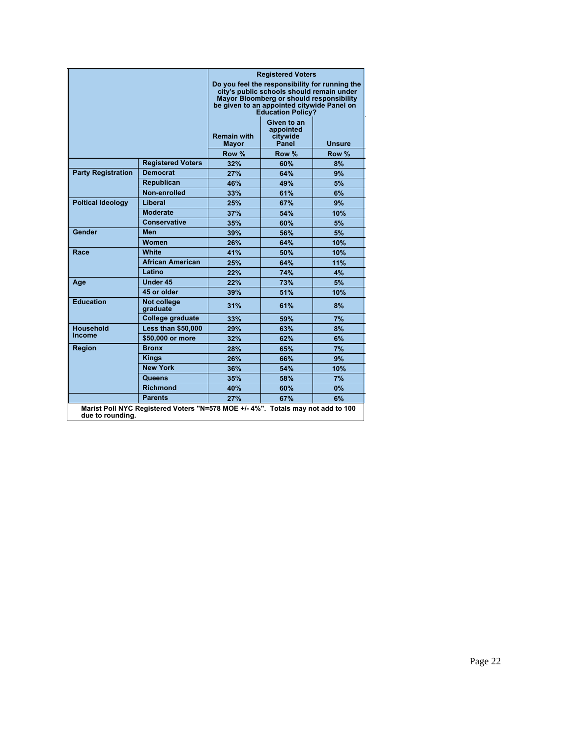|                           |                                                                                 | <b>Registered Voters</b><br>Do you feel the responsibility for running the<br>city's public schools should remain under<br>Mayor Bloomberg or should responsibility<br>be given to an appointed citywide Panel on<br><b>Education Policy?</b> |                                               |               |
|---------------------------|---------------------------------------------------------------------------------|-----------------------------------------------------------------------------------------------------------------------------------------------------------------------------------------------------------------------------------------------|-----------------------------------------------|---------------|
|                           |                                                                                 | <b>Remain with</b><br><b>Mayor</b>                                                                                                                                                                                                            | Given to an<br>appointed<br>citywide<br>Panel | <b>Unsure</b> |
|                           |                                                                                 | Row %                                                                                                                                                                                                                                         | Row %                                         | Row %         |
|                           | <b>Registered Voters</b>                                                        | 32%                                                                                                                                                                                                                                           | 60%                                           | 8%            |
| <b>Party Registration</b> | <b>Democrat</b>                                                                 | 27%                                                                                                                                                                                                                                           | 64%                                           | 9%            |
|                           | <b>Republican</b>                                                               | 46%                                                                                                                                                                                                                                           | 49%                                           | 5%            |
|                           | Non-enrolled                                                                    | 33%                                                                                                                                                                                                                                           | 61%                                           | 6%            |
| <b>Poltical Ideology</b>  | Liberal                                                                         | 25%                                                                                                                                                                                                                                           | 67%                                           | 9%            |
|                           | <b>Moderate</b>                                                                 | 37%                                                                                                                                                                                                                                           | 54%                                           | 10%           |
|                           | <b>Conservative</b>                                                             | 35%                                                                                                                                                                                                                                           | 60%                                           | 5%            |
| Gender                    | <b>Men</b>                                                                      | 39%                                                                                                                                                                                                                                           | 56%                                           | 5%            |
|                           | Women                                                                           | 26%                                                                                                                                                                                                                                           | 64%                                           | 10%           |
| Race                      | White                                                                           | 41%                                                                                                                                                                                                                                           | 50%                                           | 10%           |
|                           | <b>African American</b>                                                         | 25%                                                                                                                                                                                                                                           | 64%                                           | 11%           |
|                           | Latino                                                                          | 22%                                                                                                                                                                                                                                           | 74%                                           | 4%            |
| Age                       | Under 45                                                                        | 22%                                                                                                                                                                                                                                           | 73%                                           | 5%            |
|                           | 45 or older                                                                     | 39%                                                                                                                                                                                                                                           | 51%                                           | 10%           |
| <b>Education</b>          | <b>Not college</b><br>graduate                                                  | 31%                                                                                                                                                                                                                                           | 61%                                           | 8%            |
|                           | College graduate                                                                | 33%                                                                                                                                                                                                                                           | 59%                                           | 7%            |
| <b>Household</b>          | <b>Less than \$50,000</b>                                                       | 29%                                                                                                                                                                                                                                           | 63%                                           | 8%            |
| Income                    | \$50,000 or more                                                                | 32%                                                                                                                                                                                                                                           | 62%                                           | 6%            |
| Region                    | <b>Bronx</b>                                                                    | 28%                                                                                                                                                                                                                                           | 65%                                           | 7%            |
|                           | <b>Kings</b>                                                                    | 26%                                                                                                                                                                                                                                           | 66%                                           | 9%            |
|                           | <b>New York</b>                                                                 | 36%                                                                                                                                                                                                                                           | 54%                                           | 10%           |
|                           | Queens                                                                          | 35%                                                                                                                                                                                                                                           | 58%                                           | 7%            |
|                           | <b>Richmond</b>                                                                 | 40%                                                                                                                                                                                                                                           | 60%                                           | $0\%$         |
|                           | <b>Parents</b>                                                                  | 27%                                                                                                                                                                                                                                           | 67%                                           | 6%            |
| due to rounding.          | Marist Poll NYC Registered Voters "N=578 MOE +/- 4%". Totals may not add to 100 |                                                                                                                                                                                                                                               |                                               |               |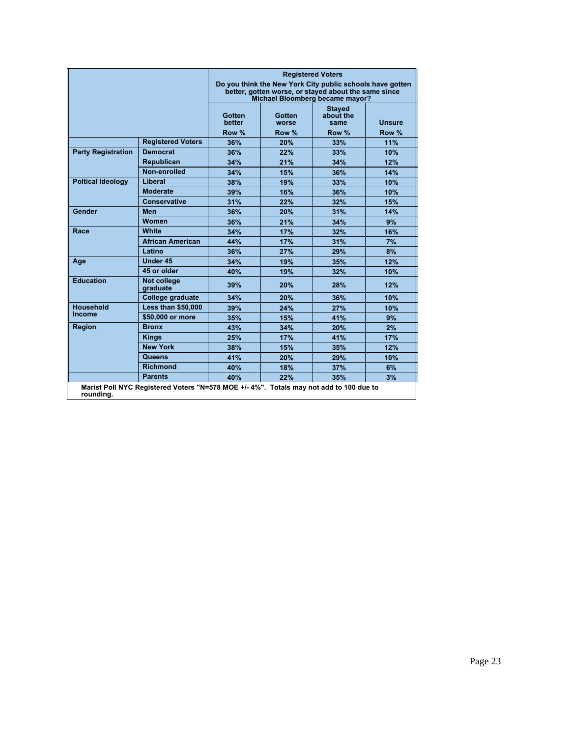|                           |                                                                                        | <b>Registered Voters</b><br>Do you think the New York City public schools have gotten<br>better, gotten worse, or stayed about the same since<br>Michael Bloomberg became mayor? |                 |                                    |               |
|---------------------------|----------------------------------------------------------------------------------------|----------------------------------------------------------------------------------------------------------------------------------------------------------------------------------|-----------------|------------------------------------|---------------|
|                           |                                                                                        | Gotten<br>better                                                                                                                                                                 | Gotten<br>worse | <b>Stayed</b><br>about the<br>same | <b>Unsure</b> |
|                           |                                                                                        | Row %                                                                                                                                                                            | Row %           | Row %                              | Row %         |
|                           | <b>Registered Voters</b>                                                               | 36%                                                                                                                                                                              | 20%             | 33%                                | 11%           |
| <b>Party Registration</b> | <b>Democrat</b>                                                                        | 36%                                                                                                                                                                              | 22%             | 33%                                | 10%           |
|                           | <b>Republican</b>                                                                      | 34%                                                                                                                                                                              | 21%             | 34%                                | 12%           |
|                           | Non-enrolled                                                                           | 34%                                                                                                                                                                              | 15%             | 36%                                | 14%           |
| <b>Poltical Ideology</b>  | Liberal                                                                                | 38%                                                                                                                                                                              | 19%             | 33%                                | 10%           |
|                           | <b>Moderate</b>                                                                        | 39%                                                                                                                                                                              | 16%             | 36%                                | 10%           |
|                           | <b>Conservative</b>                                                                    | 31%                                                                                                                                                                              | 22%             | 32%                                | 15%           |
| Gender                    | <b>Men</b>                                                                             | 36%                                                                                                                                                                              | 20%             | 31%                                | 14%           |
|                           | Women                                                                                  | 36%                                                                                                                                                                              | 21%             | 34%                                | 9%            |
| Race                      | White                                                                                  | 34%                                                                                                                                                                              | 17%             | 32%                                | 16%           |
|                           | <b>African American</b>                                                                | 44%                                                                                                                                                                              | 17%             | 31%                                | 7%            |
|                           | Latino                                                                                 | 36%                                                                                                                                                                              | 27%             | 29%                                | 8%            |
| Age                       | Under 45                                                                               | 34%                                                                                                                                                                              | 19%             | 35%                                | 12%           |
|                           | 45 or older                                                                            | 40%                                                                                                                                                                              | 19%             | 32%                                | 10%           |
| <b>Education</b>          | <b>Not college</b><br>graduate                                                         | 39%                                                                                                                                                                              | 20%             | 28%                                | 12%           |
|                           | <b>College graduate</b>                                                                | 34%                                                                                                                                                                              | 20%             | 36%                                | 10%           |
| <b>Household</b>          | <b>Less than \$50,000</b>                                                              | 39%                                                                                                                                                                              | 24%             | 27%                                | 10%           |
| <b>Income</b>             | \$50,000 or more                                                                       | 35%                                                                                                                                                                              | 15%             | 41%                                | 9%            |
| <b>Region</b>             | <b>Bronx</b>                                                                           | 43%                                                                                                                                                                              | 34%             | 20%                                | 2%            |
|                           | <b>Kings</b>                                                                           | 25%                                                                                                                                                                              | 17%             | 41%                                | 17%           |
|                           | <b>New York</b>                                                                        | 38%                                                                                                                                                                              | 15%             | 35%                                | 12%           |
|                           | Queens                                                                                 | 41%                                                                                                                                                                              | 20%             | 29%                                | 10%           |
|                           | <b>Richmond</b>                                                                        | 40%                                                                                                                                                                              | 18%             | 37%                                | 6%            |
|                           | <b>Parents</b>                                                                         | 40%                                                                                                                                                                              | 22%             | 35%                                | 3%            |
| rounding.                 | Marist Poll NYC Registered Voters "N=578 MOE +/- 4%". Totals may not add to 100 due to |                                                                                                                                                                                  |                 |                                    |               |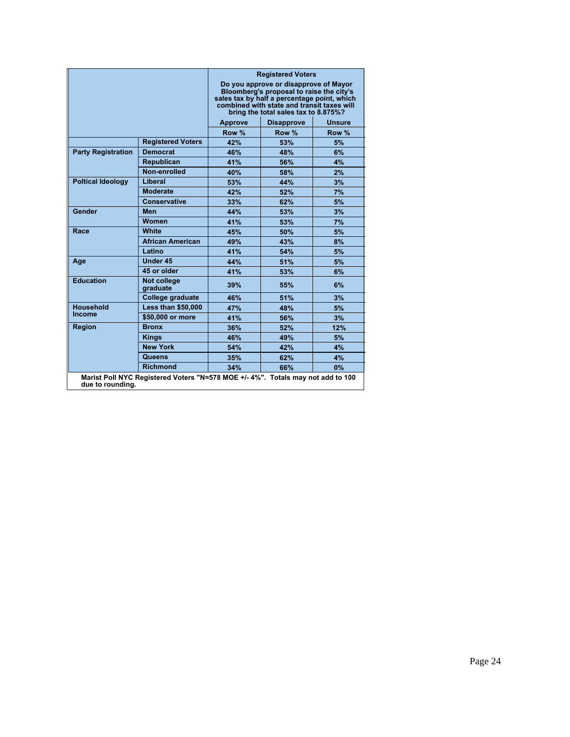|                                                                                                     |                           |                                                                                                                                                                                                                        | <b>Registered Voters</b> |               |
|-----------------------------------------------------------------------------------------------------|---------------------------|------------------------------------------------------------------------------------------------------------------------------------------------------------------------------------------------------------------------|--------------------------|---------------|
|                                                                                                     |                           | Do you approve or disapprove of Mayor<br>Bloomberg's proposal to raise the city's<br>sales tax by half a percentage point, which<br>combined with state and transit taxes will<br>bring the total sales tax to 8.875%? |                          |               |
|                                                                                                     |                           | <b>Approve</b>                                                                                                                                                                                                         | <b>Disapprove</b>        | <b>Unsure</b> |
|                                                                                                     |                           | Row %                                                                                                                                                                                                                  | Row %                    | Row %         |
|                                                                                                     | <b>Registered Voters</b>  | 42%                                                                                                                                                                                                                    | 53%                      | 5%            |
| <b>Party Registration</b>                                                                           | <b>Democrat</b>           | 46%                                                                                                                                                                                                                    | 48%                      | 6%            |
|                                                                                                     | <b>Republican</b>         | 41%                                                                                                                                                                                                                    | 56%                      | 4%            |
|                                                                                                     | Non-enrolled              | 40%                                                                                                                                                                                                                    | 58%                      | 2%            |
| <b>Poltical Ideology</b>                                                                            | Liberal                   | 53%                                                                                                                                                                                                                    | 44%                      | 3%            |
|                                                                                                     | <b>Moderate</b>           | 42%                                                                                                                                                                                                                    | 52%                      | 7%            |
|                                                                                                     | <b>Conservative</b>       | 33%                                                                                                                                                                                                                    | 62%                      | 5%            |
| Gender                                                                                              | <b>Men</b>                | 44%                                                                                                                                                                                                                    | 53%                      | 3%            |
|                                                                                                     | <b>Women</b>              | 41%                                                                                                                                                                                                                    | 53%                      | 7%            |
| Race                                                                                                | <b>White</b>              | 45%                                                                                                                                                                                                                    | 50%                      | 5%            |
|                                                                                                     | <b>African American</b>   | 49%                                                                                                                                                                                                                    | 43%                      | 8%            |
|                                                                                                     | Latino                    | 41%                                                                                                                                                                                                                    | 54%                      | 5%            |
| Age                                                                                                 | Under 45                  | 44%                                                                                                                                                                                                                    | 51%                      | 5%            |
|                                                                                                     | 45 or older               | 41%                                                                                                                                                                                                                    | 53%                      | 6%            |
| <b>Education</b>                                                                                    | Not college<br>graduate   | 39%                                                                                                                                                                                                                    | 55%                      | 6%            |
|                                                                                                     | College graduate          | 46%                                                                                                                                                                                                                    | 51%                      | 3%            |
| <b>Household</b>                                                                                    | <b>Less than \$50,000</b> | 47%                                                                                                                                                                                                                    | 48%                      | 5%            |
| <b>Income</b>                                                                                       | \$50,000 or more          | 41%                                                                                                                                                                                                                    | 56%                      | 3%            |
| <b>Region</b>                                                                                       | <b>Bronx</b>              | 36%                                                                                                                                                                                                                    | 52%                      | 12%           |
|                                                                                                     | <b>Kings</b>              | 46%                                                                                                                                                                                                                    | 49%                      | 5%            |
|                                                                                                     | <b>New York</b>           | 54%                                                                                                                                                                                                                    | 42%                      | 4%            |
|                                                                                                     | Queens                    | 35%                                                                                                                                                                                                                    | 62%                      | 4%            |
|                                                                                                     | <b>Richmond</b>           | 34%                                                                                                                                                                                                                    | 66%                      | 0%            |
| Marist Poll NYC Registered Voters "N=578 MOE +/- 4%". Totals may not add to 100<br>due to rounding. |                           |                                                                                                                                                                                                                        |                          |               |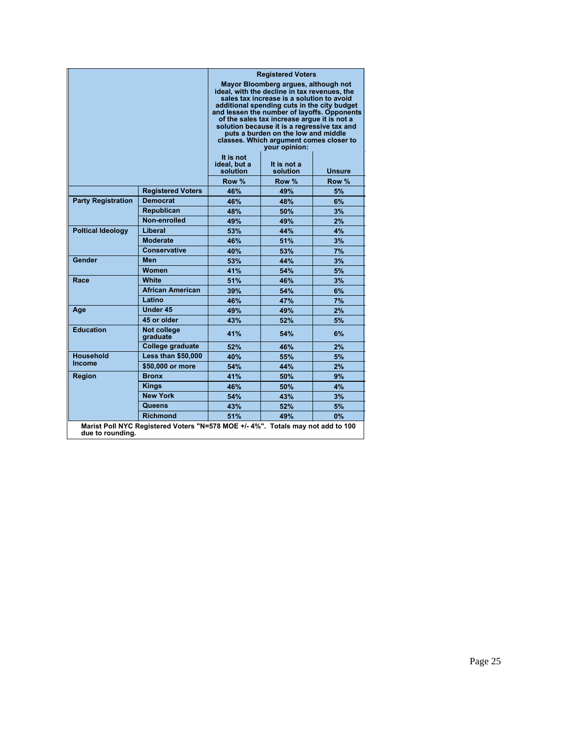|                                                                                                    |                                |                                                                                                 | <b>Registered Voters</b>                                                                   |               |
|----------------------------------------------------------------------------------------------------|--------------------------------|-------------------------------------------------------------------------------------------------|--------------------------------------------------------------------------------------------|---------------|
|                                                                                                    |                                | Mayor Bloomberg argues, although not<br>ideal, with the decline in tax revenues, the            |                                                                                            |               |
|                                                                                                    |                                |                                                                                                 | sales tax increase is a solution to avoid                                                  |               |
|                                                                                                    |                                |                                                                                                 | additional spending cuts in the city budget<br>and lessen the number of layoffs. Opponents |               |
|                                                                                                    |                                |                                                                                                 | of the sales tax increase arque it is not a                                                |               |
|                                                                                                    |                                |                                                                                                 | solution because it is a regressive tax and                                                |               |
|                                                                                                    |                                | puts a burden on the low and middle<br>classes. Which argument comes closer to<br>your opinion: |                                                                                            |               |
|                                                                                                    |                                |                                                                                                 |                                                                                            |               |
|                                                                                                    |                                | ideal, but a<br>solution                                                                        | It is not a<br>solution                                                                    | <b>Unsure</b> |
|                                                                                                    |                                | Row %                                                                                           | Row %                                                                                      | Row %         |
|                                                                                                    | <b>Registered Voters</b>       | 46%                                                                                             | 49%                                                                                        | 5%            |
| <b>Party Registration</b>                                                                          | <b>Democrat</b>                | 46%                                                                                             | 48%                                                                                        | 6%            |
|                                                                                                    | <b>Republican</b>              | 48%                                                                                             | 50%                                                                                        | 3%            |
|                                                                                                    | Non-enrolled                   | 49%                                                                                             | 49%                                                                                        | 2%            |
| <b>Poltical Ideology</b>                                                                           | Liberal                        | 53%                                                                                             | 44%                                                                                        | 4%            |
|                                                                                                    | <b>Moderate</b>                | 46%                                                                                             | 51%                                                                                        | 3%            |
|                                                                                                    | <b>Conservative</b>            | 40%                                                                                             | 53%                                                                                        | 7%            |
| Gender                                                                                             | Men                            | 53%                                                                                             | 44%                                                                                        | 3%            |
|                                                                                                    | Women                          | 41%                                                                                             | 54%                                                                                        | 5%            |
| Race                                                                                               | White                          | 51%                                                                                             | 46%                                                                                        | 3%            |
|                                                                                                    | <b>African American</b>        | 39%                                                                                             | 54%                                                                                        | 6%            |
|                                                                                                    | Latino                         | 46%                                                                                             | 47%                                                                                        | 7%            |
| Age                                                                                                | <b>Under 45</b>                | 49%                                                                                             | 49%                                                                                        | 2%            |
|                                                                                                    | 45 or older                    | 43%                                                                                             | 52%                                                                                        | 5%            |
| <b>Education</b>                                                                                   | <b>Not college</b><br>graduate | 41%                                                                                             | 54%                                                                                        | 6%            |
|                                                                                                    | College graduate               | 52%                                                                                             | 46%                                                                                        | 2%            |
| <b>Household</b>                                                                                   | <b>Less than \$50,000</b>      | 40%                                                                                             | 55%                                                                                        | 5%            |
| <b>Income</b>                                                                                      | \$50,000 or more               | 54%                                                                                             | 44%                                                                                        | 2%            |
| <b>Region</b>                                                                                      | <b>Bronx</b>                   | 41%                                                                                             | 50%                                                                                        | 9%            |
|                                                                                                    | <b>Kings</b>                   | 46%                                                                                             | 50%                                                                                        | 4%            |
|                                                                                                    | <b>New York</b>                | 54%                                                                                             | 43%                                                                                        | 3%            |
|                                                                                                    | Queens                         | 43%                                                                                             | 52%                                                                                        | 5%            |
|                                                                                                    | <b>Richmond</b>                | 51%                                                                                             | 49%                                                                                        | 0%            |
| Marist Poll NYC Registered Voters "N=578 MOE +/-4%". Totals may not add to 100<br>due to rounding. |                                |                                                                                                 |                                                                                            |               |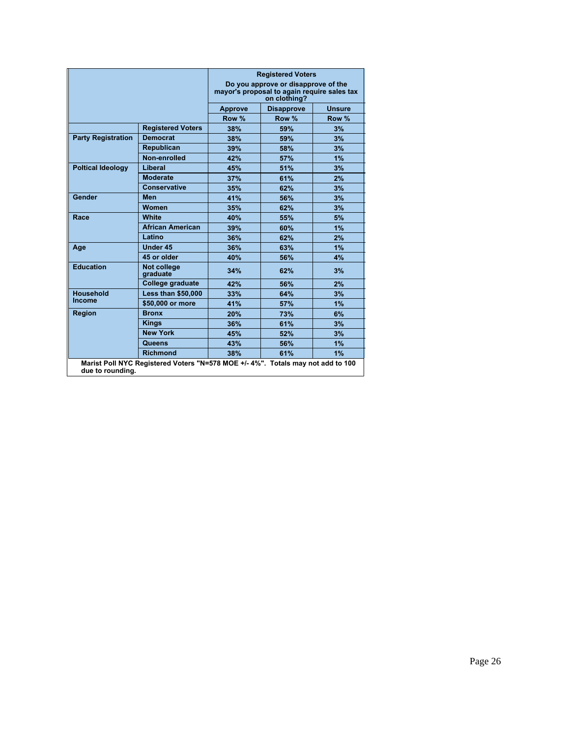|                                                                                                     |                           | <b>Registered Voters</b><br>Do you approve or disapprove of the<br>mayor's proposal to again require sales tax<br>on clothing? |                   |               |
|-----------------------------------------------------------------------------------------------------|---------------------------|--------------------------------------------------------------------------------------------------------------------------------|-------------------|---------------|
|                                                                                                     |                           | <b>Approve</b>                                                                                                                 | <b>Disapprove</b> | <b>Unsure</b> |
|                                                                                                     |                           | Row %                                                                                                                          | Row %             | Row %         |
|                                                                                                     | <b>Registered Voters</b>  | 38%                                                                                                                            | 59%               | 3%            |
| <b>Party Registration</b>                                                                           | <b>Democrat</b>           | 38%                                                                                                                            | 59%               | 3%            |
|                                                                                                     | <b>Republican</b>         | 39%                                                                                                                            | 58%               | 3%            |
|                                                                                                     | Non-enrolled              | 42%                                                                                                                            | 57%               | 1%            |
| <b>Poltical Ideology</b>                                                                            | Liberal                   | 45%                                                                                                                            | 51%               | 3%            |
|                                                                                                     | <b>Moderate</b>           | 37%                                                                                                                            | 61%               | 2%            |
|                                                                                                     | <b>Conservative</b>       | 35%                                                                                                                            | 62%               | 3%            |
| Gender                                                                                              | Men                       | 41%                                                                                                                            | 56%               | 3%            |
|                                                                                                     | <b>Women</b>              | 35%                                                                                                                            | 62%               | 3%            |
| Race                                                                                                | White                     | 40%                                                                                                                            | 55%               | 5%            |
|                                                                                                     | <b>African American</b>   | 39%                                                                                                                            | 60%               | 1%            |
|                                                                                                     | Latino                    | 36%                                                                                                                            | 62%               | 2%            |
| Age                                                                                                 | <b>Under 45</b>           | 36%                                                                                                                            | 63%               | 1%            |
|                                                                                                     | 45 or older               | 40%                                                                                                                            | 56%               | 4%            |
| <b>Education</b>                                                                                    | Not college<br>graduate   | 34%                                                                                                                            | 62%               | 3%            |
|                                                                                                     | College graduate          | 42%                                                                                                                            | 56%               | 2%            |
| <b>Household</b><br><b>Income</b>                                                                   | <b>Less than \$50,000</b> | 33%                                                                                                                            | 64%               | 3%            |
|                                                                                                     | \$50,000 or more          | 41%                                                                                                                            | 57%               | 1%            |
| <b>Region</b>                                                                                       | <b>Bronx</b>              | 20%                                                                                                                            | 73%               | 6%            |
|                                                                                                     | <b>Kings</b>              | 36%                                                                                                                            | 61%               | 3%            |
|                                                                                                     | <b>New York</b>           | 45%                                                                                                                            | 52%               | 3%            |
|                                                                                                     | Queens                    | 43%                                                                                                                            | 56%               | 1%            |
|                                                                                                     | <b>Richmond</b>           | 38%                                                                                                                            | 61%               | 1%            |
| Marist Poll NYC Registered Voters "N=578 MOE +/- 4%". Totals may not add to 100<br>due to rounding. |                           |                                                                                                                                |                   |               |